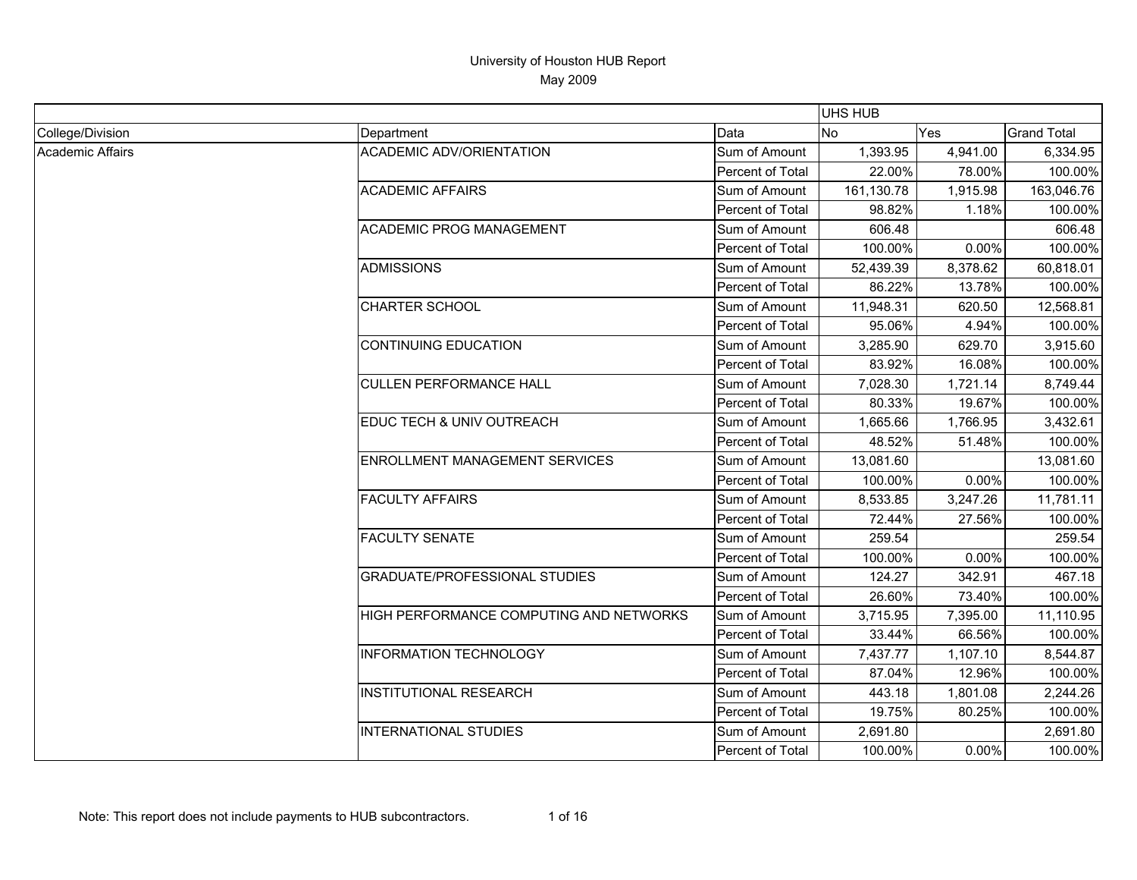|                         |                                         |                  | <b>UHS HUB</b> |          |                    |
|-------------------------|-----------------------------------------|------------------|----------------|----------|--------------------|
| College/Division        | Department                              | Data             | <b>No</b>      | Yes      | <b>Grand Total</b> |
| <b>Academic Affairs</b> | <b>ACADEMIC ADV/ORIENTATION</b>         | Sum of Amount    | 1,393.95       | 4,941.00 | 6,334.95           |
|                         |                                         | Percent of Total | 22.00%         | 78.00%   | 100.00%            |
|                         | <b>ACADEMIC AFFAIRS</b>                 | Sum of Amount    | 161,130.78     | 1,915.98 | 163,046.76         |
|                         |                                         | Percent of Total | 98.82%         | 1.18%    | 100.00%            |
|                         | <b>ACADEMIC PROG MANAGEMENT</b>         | Sum of Amount    | 606.48         |          | 606.48             |
|                         |                                         | Percent of Total | 100.00%        | 0.00%    | 100.00%            |
|                         | <b>ADMISSIONS</b>                       | Sum of Amount    | 52,439.39      | 8,378.62 | 60,818.01          |
|                         |                                         | Percent of Total | 86.22%         | 13.78%   | 100.00%            |
|                         | <b>CHARTER SCHOOL</b>                   | Sum of Amount    | 11,948.31      | 620.50   | 12,568.81          |
|                         |                                         | Percent of Total | 95.06%         | 4.94%    | 100.00%            |
|                         | <b>CONTINUING EDUCATION</b>             | Sum of Amount    | 3,285.90       | 629.70   | 3,915.60           |
|                         |                                         | Percent of Total | 83.92%         | 16.08%   | 100.00%            |
|                         | <b>CULLEN PERFORMANCE HALL</b>          | Sum of Amount    | 7,028.30       | 1,721.14 | 8,749.44           |
|                         |                                         | Percent of Total | 80.33%         | 19.67%   | 100.00%            |
|                         | EDUC TECH & UNIV OUTREACH               | Sum of Amount    | 1,665.66       | 1,766.95 | 3,432.61           |
|                         |                                         | Percent of Total | 48.52%         | 51.48%   | 100.00%            |
|                         | ENROLLMENT MANAGEMENT SERVICES          | Sum of Amount    | 13,081.60      |          | 13,081.60          |
|                         |                                         | Percent of Total | 100.00%        | 0.00%    | 100.00%            |
|                         | <b>FACULTY AFFAIRS</b>                  | Sum of Amount    | 8,533.85       | 3,247.26 | 11,781.11          |
|                         |                                         | Percent of Total | 72.44%         | 27.56%   | 100.00%            |
|                         | <b>FACULTY SENATE</b>                   | Sum of Amount    | 259.54         |          | 259.54             |
|                         |                                         | Percent of Total | 100.00%        | 0.00%    | 100.00%            |
|                         | <b>GRADUATE/PROFESSIONAL STUDIES</b>    | Sum of Amount    | 124.27         | 342.91   | 467.18             |
|                         |                                         | Percent of Total | 26.60%         | 73.40%   | 100.00%            |
|                         | HIGH PERFORMANCE COMPUTING AND NETWORKS | Sum of Amount    | 3,715.95       | 7,395.00 | 11,110.95          |
|                         |                                         | Percent of Total | 33.44%         | 66.56%   | 100.00%            |
|                         | <b>INFORMATION TECHNOLOGY</b>           | Sum of Amount    | 7,437.77       | 1,107.10 | 8,544.87           |
|                         |                                         | Percent of Total | 87.04%         | 12.96%   | 100.00%            |
|                         | <b>INSTITUTIONAL RESEARCH</b>           | Sum of Amount    | 443.18         | 1,801.08 | 2,244.26           |
|                         |                                         | Percent of Total | 19.75%         | 80.25%   | 100.00%            |
|                         | <b>INTERNATIONAL STUDIES</b>            | Sum of Amount    | 2,691.80       |          | 2,691.80           |
|                         |                                         | Percent of Total | 100.00%        | 0.00%    | 100.00%            |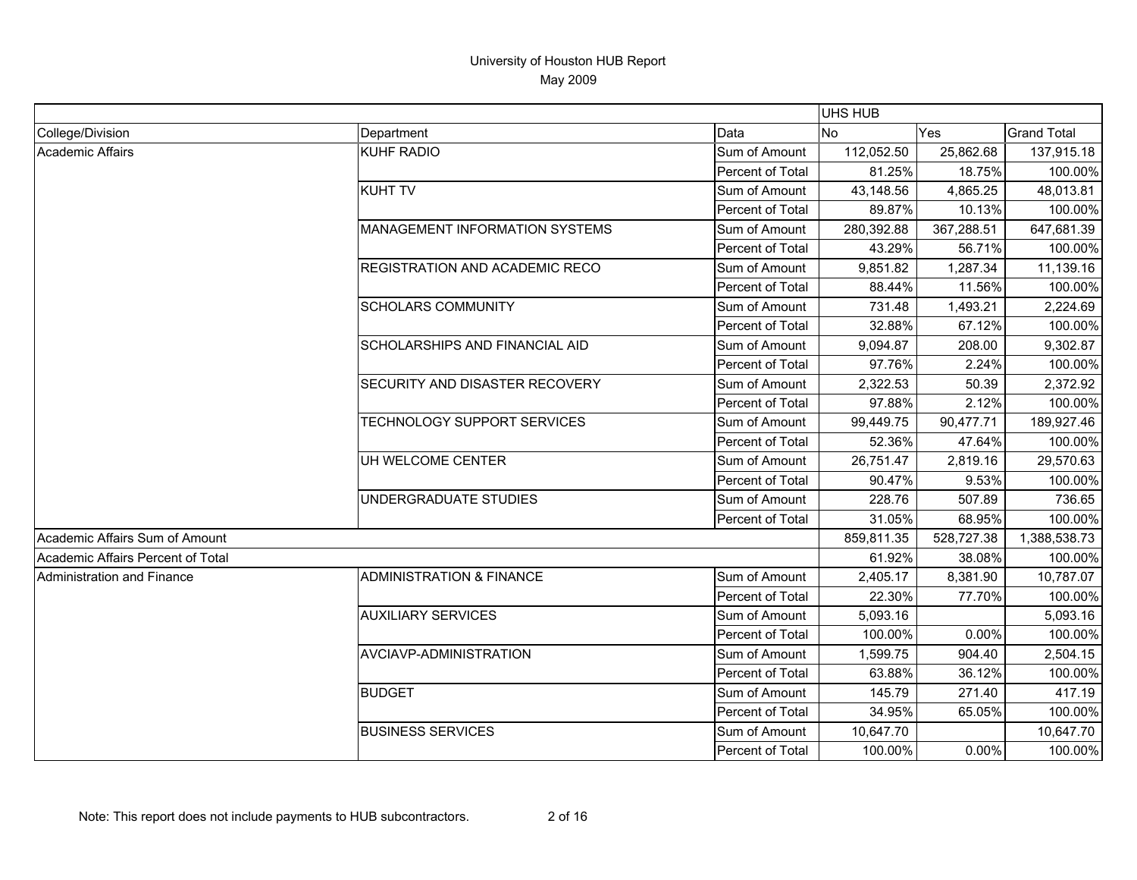|                                   |                                       |                  | <b>UHS HUB</b> |            |                    |
|-----------------------------------|---------------------------------------|------------------|----------------|------------|--------------------|
| College/Division                  | Department                            | Data             | No             | Yes        | <b>Grand Total</b> |
| Academic Affairs                  | <b>KUHF RADIO</b>                     | Sum of Amount    | 112,052.50     | 25,862.68  | 137,915.18         |
|                                   |                                       | Percent of Total | 81.25%         | 18.75%     | 100.00%            |
|                                   | <b>KUHT TV</b>                        | Sum of Amount    | 43,148.56      | 4,865.25   | 48,013.81          |
|                                   |                                       | Percent of Total | 89.87%         | 10.13%     | 100.00%            |
|                                   | MANAGEMENT INFORMATION SYSTEMS        | Sum of Amount    | 280,392.88     | 367,288.51 | 647,681.39         |
|                                   |                                       | Percent of Total | 43.29%         | 56.71%     | 100.00%            |
|                                   | REGISTRATION AND ACADEMIC RECO        | Sum of Amount    | 9,851.82       | 1,287.34   | 11,139.16          |
|                                   |                                       | Percent of Total | 88.44%         | 11.56%     | 100.00%            |
|                                   | <b>SCHOLARS COMMUNITY</b>             | Sum of Amount    | 731.48         | 1,493.21   | 2,224.69           |
|                                   |                                       | Percent of Total | 32.88%         | 67.12%     | 100.00%            |
|                                   | <b>SCHOLARSHIPS AND FINANCIAL AID</b> | Sum of Amount    | 9,094.87       | 208.00     | 9,302.87           |
|                                   |                                       | Percent of Total | 97.76%         | 2.24%      | 100.00%            |
|                                   | SECURITY AND DISASTER RECOVERY        | Sum of Amount    | 2,322.53       | 50.39      | 2,372.92           |
|                                   |                                       | Percent of Total | 97.88%         | 2.12%      | 100.00%            |
|                                   | TECHNOLOGY SUPPORT SERVICES           | Sum of Amount    | 99,449.75      | 90,477.71  | 189,927.46         |
|                                   |                                       | Percent of Total | 52.36%         | 47.64%     | 100.00%            |
|                                   | UH WELCOME CENTER                     | Sum of Amount    | 26,751.47      | 2,819.16   | 29,570.63          |
|                                   |                                       | Percent of Total | 90.47%         | 9.53%      | 100.00%            |
|                                   | UNDERGRADUATE STUDIES                 | Sum of Amount    | 228.76         | 507.89     | 736.65             |
|                                   |                                       | Percent of Total | 31.05%         | 68.95%     | 100.00%            |
| Academic Affairs Sum of Amount    |                                       |                  | 859,811.35     | 528,727.38 | 1,388,538.73       |
| Academic Affairs Percent of Total |                                       |                  | 61.92%         | 38.08%     | 100.00%            |
| Administration and Finance        | <b>ADMINISTRATION &amp; FINANCE</b>   | Sum of Amount    | 2,405.17       | 8,381.90   | 10,787.07          |
|                                   |                                       | Percent of Total | 22.30%         | 77.70%     | 100.00%            |
|                                   | <b>AUXILIARY SERVICES</b>             | Sum of Amount    | 5,093.16       |            | 5,093.16           |
|                                   |                                       | Percent of Total | 100.00%        | 0.00%      | 100.00%            |
|                                   | AVCIAVP-ADMINISTRATION                | Sum of Amount    | 1,599.75       | 904.40     | 2,504.15           |
|                                   |                                       | Percent of Total | 63.88%         | 36.12%     | 100.00%            |
|                                   | <b>BUDGET</b>                         | Sum of Amount    | 145.79         | 271.40     | 417.19             |
|                                   |                                       | Percent of Total | 34.95%         | 65.05%     | 100.00%            |
|                                   | <b>BUSINESS SERVICES</b>              | Sum of Amount    | 10,647.70      |            | 10,647.70          |
|                                   |                                       | Percent of Total | 100.00%        | 0.00%      | 100.00%            |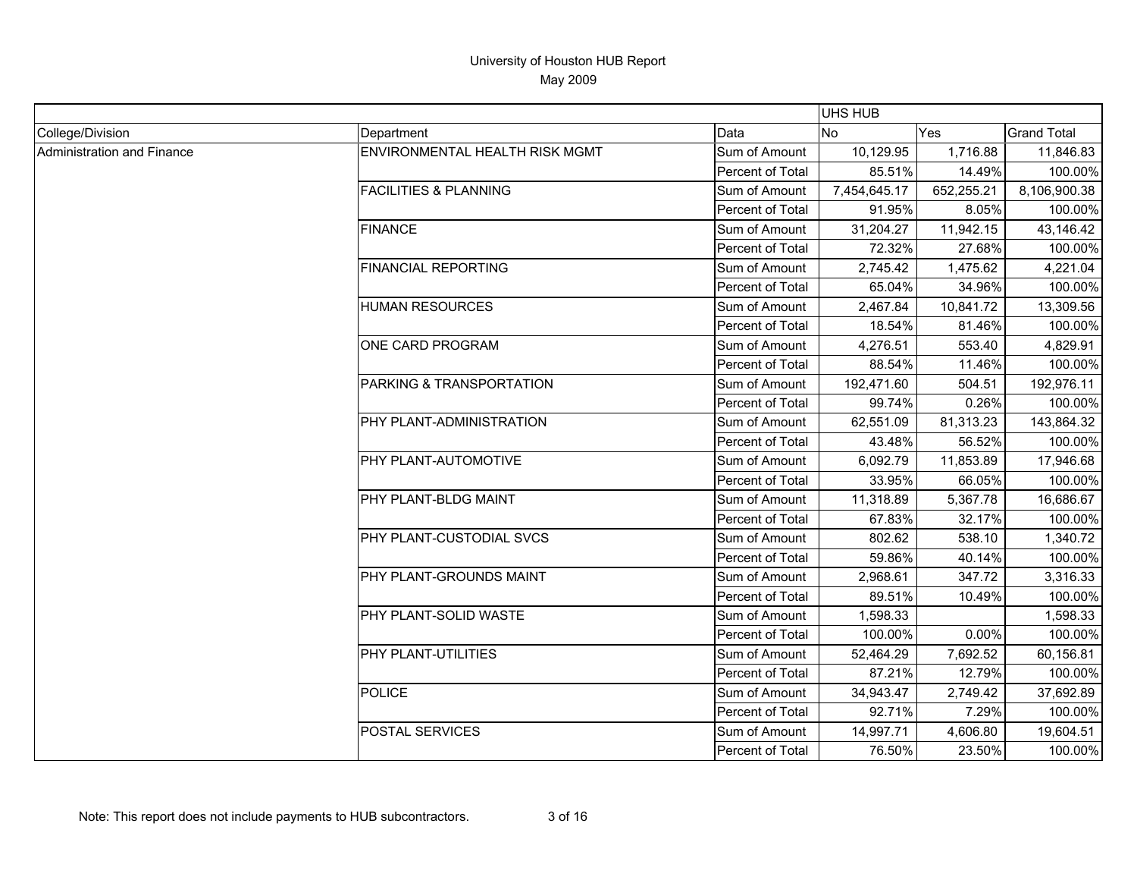|                            |                                       |                  | <b>UHS HUB</b> |            |                    |
|----------------------------|---------------------------------------|------------------|----------------|------------|--------------------|
| College/Division           | Department                            | Data             | <b>No</b>      | <b>Yes</b> | <b>Grand Total</b> |
| Administration and Finance | <b>ENVIRONMENTAL HEALTH RISK MGMT</b> | Sum of Amount    | 10,129.95      | 1,716.88   | 11,846.83          |
|                            |                                       | Percent of Total | 85.51%         | 14.49%     | 100.00%            |
|                            | <b>FACILITIES &amp; PLANNING</b>      | Sum of Amount    | 7,454,645.17   | 652,255.21 | 8,106,900.38       |
|                            |                                       | Percent of Total | 91.95%         | 8.05%      | 100.00%            |
|                            | <b>FINANCE</b>                        | Sum of Amount    | 31,204.27      | 11,942.15  | 43,146.42          |
|                            |                                       | Percent of Total | 72.32%         | 27.68%     | 100.00%            |
|                            | <b>FINANCIAL REPORTING</b>            | Sum of Amount    | 2,745.42       | 1,475.62   | 4,221.04           |
|                            |                                       | Percent of Total | 65.04%         | 34.96%     | 100.00%            |
|                            | <b>HUMAN RESOURCES</b>                | Sum of Amount    | 2,467.84       | 10,841.72  | 13,309.56          |
|                            |                                       | Percent of Total | 18.54%         | 81.46%     | 100.00%            |
|                            | ONE CARD PROGRAM                      | Sum of Amount    | 4,276.51       | 553.40     | 4,829.91           |
|                            |                                       | Percent of Total | 88.54%         | 11.46%     | 100.00%            |
|                            | PARKING & TRANSPORTATION              | Sum of Amount    | 192,471.60     | 504.51     | 192,976.11         |
|                            |                                       | Percent of Total | 99.74%         | 0.26%      | 100.00%            |
|                            | PHY PLANT-ADMINISTRATION              | Sum of Amount    | 62,551.09      | 81,313.23  | 143,864.32         |
|                            |                                       | Percent of Total | 43.48%         | 56.52%     | 100.00%            |
|                            | PHY PLANT-AUTOMOTIVE                  | Sum of Amount    | 6,092.79       | 11,853.89  | 17,946.68          |
|                            |                                       | Percent of Total | 33.95%         | 66.05%     | 100.00%            |
|                            | PHY PLANT-BLDG MAINT                  | Sum of Amount    | 11,318.89      | 5,367.78   | 16,686.67          |
|                            |                                       | Percent of Total | 67.83%         | 32.17%     | 100.00%            |
|                            | PHY PLANT-CUSTODIAL SVCS              | Sum of Amount    | 802.62         | 538.10     | 1,340.72           |
|                            |                                       | Percent of Total | 59.86%         | 40.14%     | 100.00%            |
|                            | PHY PLANT-GROUNDS MAINT               | Sum of Amount    | 2,968.61       | 347.72     | 3,316.33           |
|                            |                                       | Percent of Total | 89.51%         | 10.49%     | 100.00%            |
|                            | PHY PLANT-SOLID WASTE                 | Sum of Amount    | 1,598.33       |            | 1,598.33           |
|                            |                                       | Percent of Total | 100.00%        | 0.00%      | 100.00%            |
|                            | PHY PLANT-UTILITIES                   | Sum of Amount    | 52,464.29      | 7,692.52   | 60,156.81          |
|                            |                                       | Percent of Total | 87.21%         | 12.79%     | 100.00%            |
|                            | <b>POLICE</b>                         | Sum of Amount    | 34,943.47      | 2,749.42   | 37,692.89          |
|                            |                                       | Percent of Total | 92.71%         | 7.29%      | 100.00%            |
|                            | POSTAL SERVICES                       | Sum of Amount    | 14,997.71      | 4,606.80   | 19,604.51          |
|                            |                                       | Percent of Total | 76.50%         | 23.50%     | 100.00%            |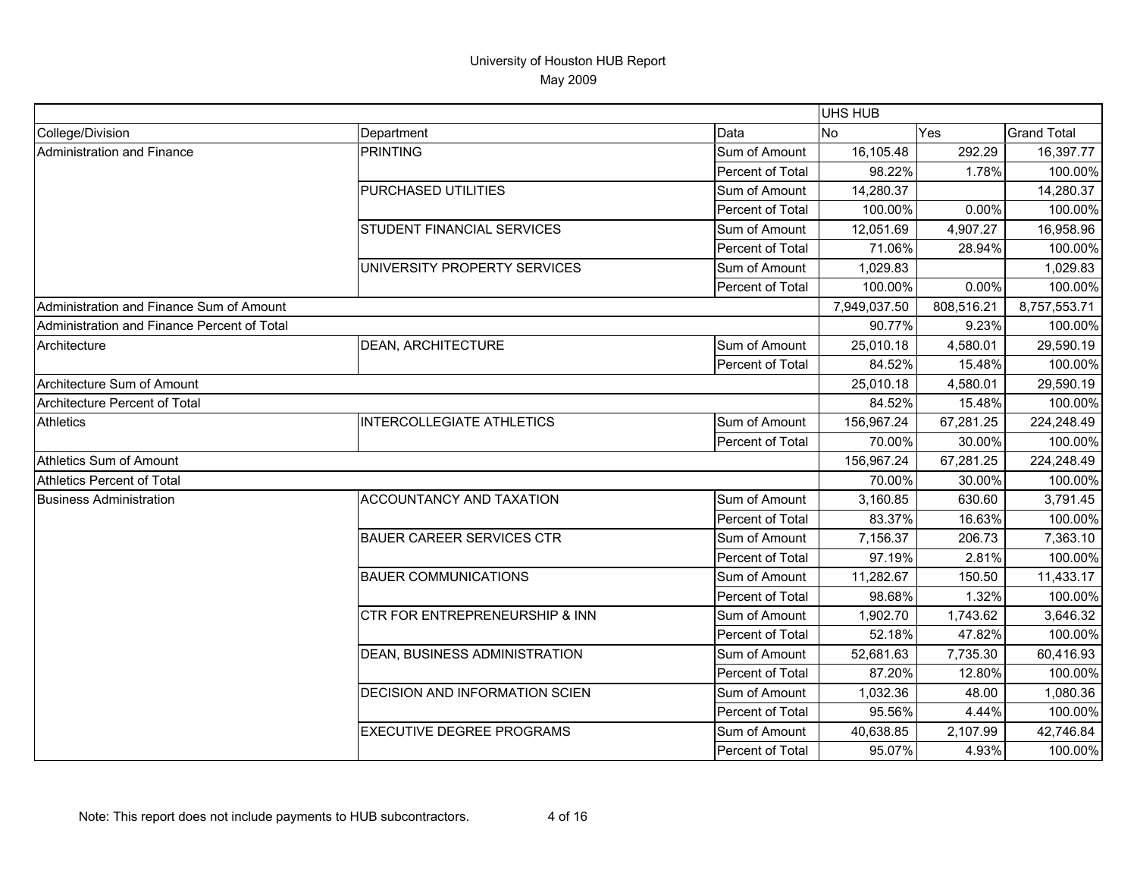|                                             |                                           |                  | <b>UHS HUB</b> |            |                    |
|---------------------------------------------|-------------------------------------------|------------------|----------------|------------|--------------------|
| College/Division                            | Department                                | Data             | <b>INo</b>     | Yes        | <b>Grand Total</b> |
| Administration and Finance                  | <b>PRINTING</b>                           | Sum of Amount    | 16,105.48      | 292.29     | 16,397.77          |
|                                             |                                           | Percent of Total | 98.22%         | 1.78%      | 100.00%            |
|                                             | PURCHASED UTILITIES                       | Sum of Amount    | 14,280.37      |            | 14,280.37          |
|                                             |                                           | Percent of Total | 100.00%        | 0.00%      | 100.00%            |
|                                             | <b>STUDENT FINANCIAL SERVICES</b>         | Sum of Amount    | 12,051.69      | 4,907.27   | 16,958.96          |
|                                             |                                           | Percent of Total | 71.06%         | 28.94%     | 100.00%            |
|                                             | UNIVERSITY PROPERTY SERVICES              | Sum of Amount    | 1,029.83       |            | 1,029.83           |
|                                             |                                           | Percent of Total | 100.00%        | 0.00%      | 100.00%            |
| Administration and Finance Sum of Amount    |                                           |                  | 7,949,037.50   | 808,516.21 | 8,757,553.71       |
| Administration and Finance Percent of Total |                                           |                  | 90.77%         | 9.23%      | 100.00%            |
| Architecture                                | <b>DEAN, ARCHITECTURE</b>                 | Sum of Amount    | 25,010.18      | 4,580.01   | 29,590.19          |
|                                             |                                           | Percent of Total | 84.52%         | 15.48%     | 100.00%            |
| Architecture Sum of Amount                  |                                           |                  | 25,010.18      | 4,580.01   | 29,590.19          |
| Architecture Percent of Total               |                                           |                  | 84.52%         | 15.48%     | 100.00%            |
| <b>Athletics</b>                            | <b>INTERCOLLEGIATE ATHLETICS</b>          | Sum of Amount    | 156,967.24     | 67,281.25  | 224,248.49         |
|                                             |                                           | Percent of Total | 70.00%         | 30.00%     | 100.00%            |
| Athletics Sum of Amount                     |                                           |                  | 156,967.24     | 67,281.25  | 224,248.49         |
| Athletics Percent of Total                  |                                           |                  | 70.00%         | 30.00%     | 100.00%            |
| <b>Business Administration</b>              | ACCOUNTANCY AND TAXATION                  | Sum of Amount    | 3,160.85       | 630.60     | 3,791.45           |
|                                             |                                           | Percent of Total | 83.37%         | 16.63%     | 100.00%            |
|                                             | <b>BAUER CAREER SERVICES CTR</b>          | Sum of Amount    | 7,156.37       | 206.73     | 7,363.10           |
|                                             |                                           | Percent of Total | 97.19%         | 2.81%      | 100.00%            |
|                                             | <b>BAUER COMMUNICATIONS</b>               | Sum of Amount    | 11,282.67      | 150.50     | 11,433.17          |
|                                             |                                           | Percent of Total | 98.68%         | 1.32%      | 100.00%            |
|                                             | <b>CTR FOR ENTREPRENEURSHIP &amp; INN</b> | Sum of Amount    | 1,902.70       | 1,743.62   | 3,646.32           |
|                                             |                                           | Percent of Total | 52.18%         | 47.82%     | 100.00%            |
|                                             | DEAN, BUSINESS ADMINISTRATION             | Sum of Amount    | 52,681.63      | 7,735.30   | 60,416.93          |
|                                             |                                           | Percent of Total | 87.20%         | 12.80%     | 100.00%            |
|                                             | <b>DECISION AND INFORMATION SCIEN</b>     | Sum of Amount    | 1,032.36       | 48.00      | 1,080.36           |
|                                             |                                           | Percent of Total | 95.56%         | 4.44%      | 100.00%            |
|                                             | <b>EXECUTIVE DEGREE PROGRAMS</b>          | Sum of Amount    | 40,638.85      | 2,107.99   | 42,746.84          |
|                                             |                                           | Percent of Total | 95.07%         | 4.93%      | 100.00%            |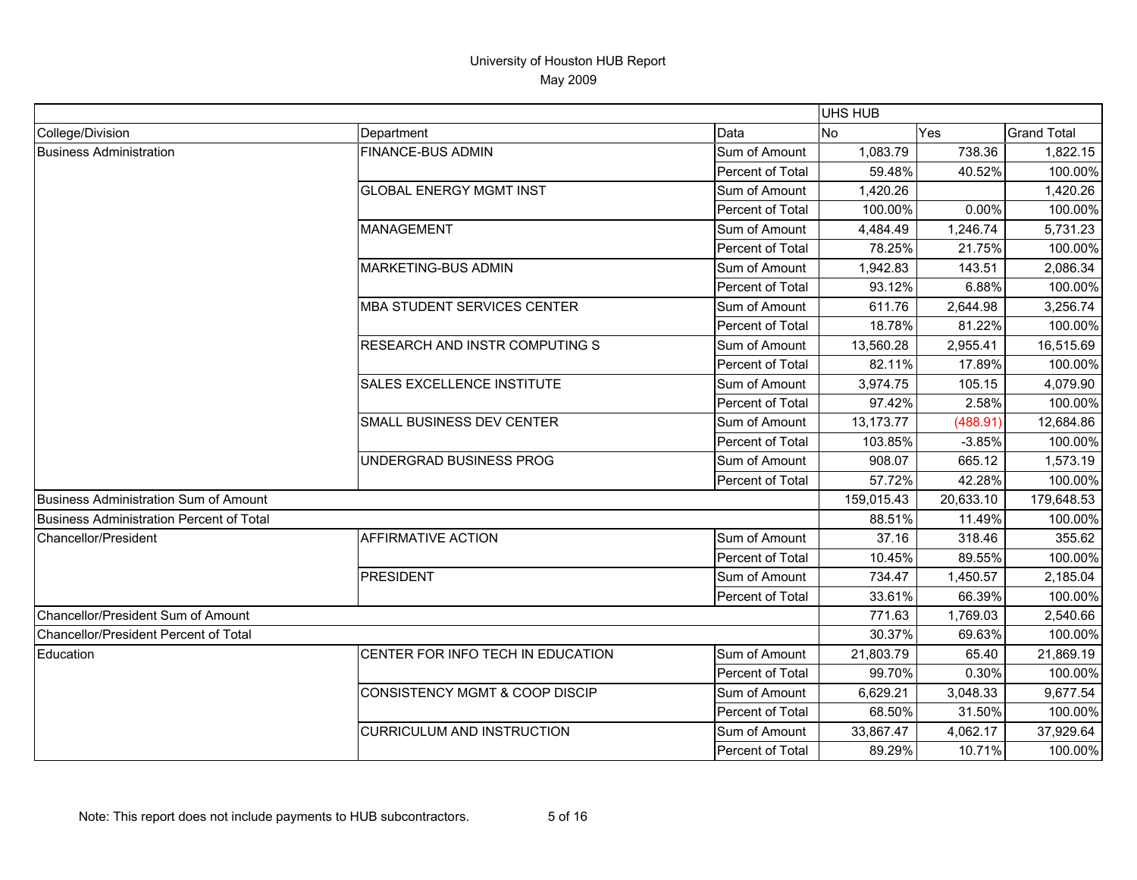|                                                 |                                           |                  | UHS HUB    |           |                    |
|-------------------------------------------------|-------------------------------------------|------------------|------------|-----------|--------------------|
| College/Division                                | Department                                | Data             | <b>No</b>  | Yes       | <b>Grand Total</b> |
| <b>Business Administration</b>                  | <b>FINANCE-BUS ADMIN</b>                  | Sum of Amount    | 1,083.79   | 738.36    | 1,822.15           |
|                                                 |                                           | Percent of Total | 59.48%     | 40.52%    | 100.00%            |
|                                                 | <b>GLOBAL ENERGY MGMT INST</b>            | Sum of Amount    | 1,420.26   |           | 1,420.26           |
|                                                 |                                           | Percent of Total | 100.00%    | 0.00%     | 100.00%            |
|                                                 | <b>MANAGEMENT</b>                         | Sum of Amount    | 4,484.49   | 1,246.74  | 5,731.23           |
|                                                 |                                           | Percent of Total | 78.25%     | 21.75%    | 100.00%            |
|                                                 | <b>MARKETING-BUS ADMIN</b>                | Sum of Amount    | 1,942.83   | 143.51    | 2,086.34           |
|                                                 |                                           | Percent of Total | 93.12%     | 6.88%     | 100.00%            |
|                                                 | <b>MBA STUDENT SERVICES CENTER</b>        | Sum of Amount    | 611.76     | 2,644.98  | 3,256.74           |
|                                                 |                                           | Percent of Total | 18.78%     | 81.22%    | 100.00%            |
|                                                 | <b>RESEARCH AND INSTR COMPUTING S</b>     | Sum of Amount    | 13,560.28  | 2,955.41  | 16,515.69          |
|                                                 |                                           | Percent of Total | 82.11%     | 17.89%    | 100.00%            |
|                                                 | <b>SALES EXCELLENCE INSTITUTE</b>         | Sum of Amount    | 3,974.75   | 105.15    | 4,079.90           |
|                                                 |                                           | Percent of Total | 97.42%     | 2.58%     | 100.00%            |
|                                                 | SMALL BUSINESS DEV CENTER                 | Sum of Amount    | 13,173.77  | (488.91)  | 12,684.86          |
|                                                 |                                           | Percent of Total | 103.85%    | $-3.85%$  | 100.00%            |
|                                                 | UNDERGRAD BUSINESS PROG                   | Sum of Amount    | 908.07     | 665.12    | 1,573.19           |
|                                                 |                                           | Percent of Total | 57.72%     | 42.28%    | 100.00%            |
| Business Administration Sum of Amount           |                                           |                  | 159,015.43 | 20,633.10 | 179,648.53         |
| <b>Business Administration Percent of Total</b> |                                           |                  | 88.51%     | 11.49%    | 100.00%            |
| Chancellor/President                            | <b>AFFIRMATIVE ACTION</b>                 | Sum of Amount    | 37.16      | 318.46    | 355.62             |
|                                                 |                                           | Percent of Total | 10.45%     | 89.55%    | 100.00%            |
|                                                 | <b>PRESIDENT</b>                          | Sum of Amount    | 734.47     | 1,450.57  | 2,185.04           |
|                                                 |                                           | Percent of Total | 33.61%     | 66.39%    | 100.00%            |
| Chancellor/President Sum of Amount              |                                           |                  | 771.63     | 1,769.03  | 2,540.66           |
| Chancellor/President Percent of Total           |                                           |                  | 30.37%     | 69.63%    | 100.00%            |
| Education                                       | CENTER FOR INFO TECH IN EDUCATION         | Sum of Amount    | 21,803.79  | 65.40     | 21,869.19          |
|                                                 |                                           | Percent of Total | 99.70%     | 0.30%     | 100.00%            |
|                                                 | <b>CONSISTENCY MGMT &amp; COOP DISCIP</b> | Sum of Amount    | 6,629.21   | 3,048.33  | 9,677.54           |
|                                                 |                                           | Percent of Total | 68.50%     | 31.50%    | 100.00%            |
|                                                 | <b>CURRICULUM AND INSTRUCTION</b>         | Sum of Amount    | 33,867.47  | 4,062.17  | 37,929.64          |
|                                                 |                                           | Percent of Total | 89.29%     | 10.71%    | 100.00%            |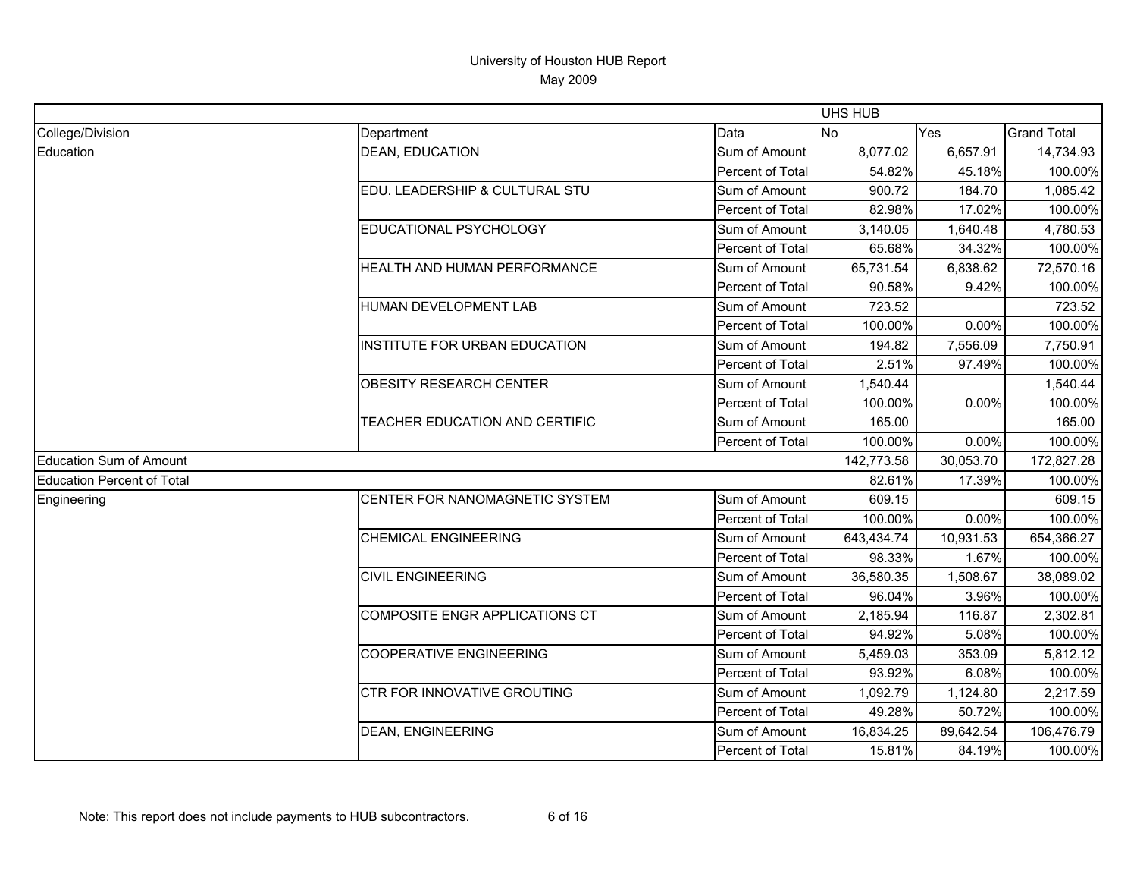|                            |                                    |                  | UHS HUB    |           |                    |
|----------------------------|------------------------------------|------------------|------------|-----------|--------------------|
| College/Division           | Department                         | Data             | <b>No</b>  | Yes       | <b>Grand Total</b> |
| Education                  | <b>DEAN, EDUCATION</b>             | Sum of Amount    | 8,077.02   | 6,657.91  | 14,734.93          |
|                            |                                    | Percent of Total | 54.82%     | 45.18%    | 100.00%            |
|                            | EDU. LEADERSHIP & CULTURAL STU     | Sum of Amount    | 900.72     | 184.70    | 1,085.42           |
|                            |                                    | Percent of Total | 82.98%     | 17.02%    | 100.00%            |
|                            | EDUCATIONAL PSYCHOLOGY             | Sum of Amount    | 3,140.05   | 1,640.48  | 4,780.53           |
|                            |                                    | Percent of Total | 65.68%     | 34.32%    | 100.00%            |
|                            | HEALTH AND HUMAN PERFORMANCE       | Sum of Amount    | 65,731.54  | 6,838.62  | 72,570.16          |
|                            |                                    | Percent of Total | 90.58%     | 9.42%     | 100.00%            |
|                            | HUMAN DEVELOPMENT LAB              | Sum of Amount    | 723.52     |           | 723.52             |
|                            |                                    | Percent of Total | 100.00%    | 0.00%     | 100.00%            |
|                            | INSTITUTE FOR URBAN EDUCATION      | Sum of Amount    | 194.82     | 7,556.09  | 7,750.91           |
|                            |                                    | Percent of Total | 2.51%      | 97.49%    | 100.00%            |
|                            | <b>OBESITY RESEARCH CENTER</b>     | Sum of Amount    | 1,540.44   |           | 1,540.44           |
|                            |                                    | Percent of Total | 100.00%    | 0.00%     | 100.00%            |
|                            | TEACHER EDUCATION AND CERTIFIC     | Sum of Amount    | 165.00     |           | 165.00             |
|                            |                                    | Percent of Total | 100.00%    | 0.00%     | 100.00%            |
| Education Sum of Amount    |                                    |                  | 142,773.58 | 30,053.70 | 172,827.28         |
| Education Percent of Total |                                    |                  | 82.61%     | 17.39%    | 100.00%            |
| Engineering                | CENTER FOR NANOMAGNETIC SYSTEM     | Sum of Amount    | 609.15     |           | 609.15             |
|                            |                                    | Percent of Total | 100.00%    | 0.00%     | 100.00%            |
|                            | <b>CHEMICAL ENGINEERING</b>        | Sum of Amount    | 643,434.74 | 10,931.53 | 654,366.27         |
|                            |                                    | Percent of Total | 98.33%     | 1.67%     | 100.00%            |
|                            | <b>CIVIL ENGINEERING</b>           | Sum of Amount    | 36,580.35  | 1,508.67  | 38,089.02          |
|                            |                                    | Percent of Total | 96.04%     | 3.96%     | 100.00%            |
|                            | COMPOSITE ENGR APPLICATIONS CT     | Sum of Amount    | 2,185.94   | 116.87    | 2,302.81           |
|                            |                                    | Percent of Total | 94.92%     | 5.08%     | 100.00%            |
|                            | <b>COOPERATIVE ENGINEERING</b>     | Sum of Amount    | 5,459.03   | 353.09    | 5,812.12           |
|                            |                                    | Percent of Total | 93.92%     | 6.08%     | 100.00%            |
|                            | <b>CTR FOR INNOVATIVE GROUTING</b> | Sum of Amount    | 1,092.79   | 1,124.80  | 2,217.59           |
|                            |                                    | Percent of Total | 49.28%     | 50.72%    | 100.00%            |
|                            | <b>DEAN, ENGINEERING</b>           | Sum of Amount    | 16,834.25  | 89,642.54 | 106,476.79         |
|                            |                                    | Percent of Total | 15.81%     | 84.19%    | 100.00%            |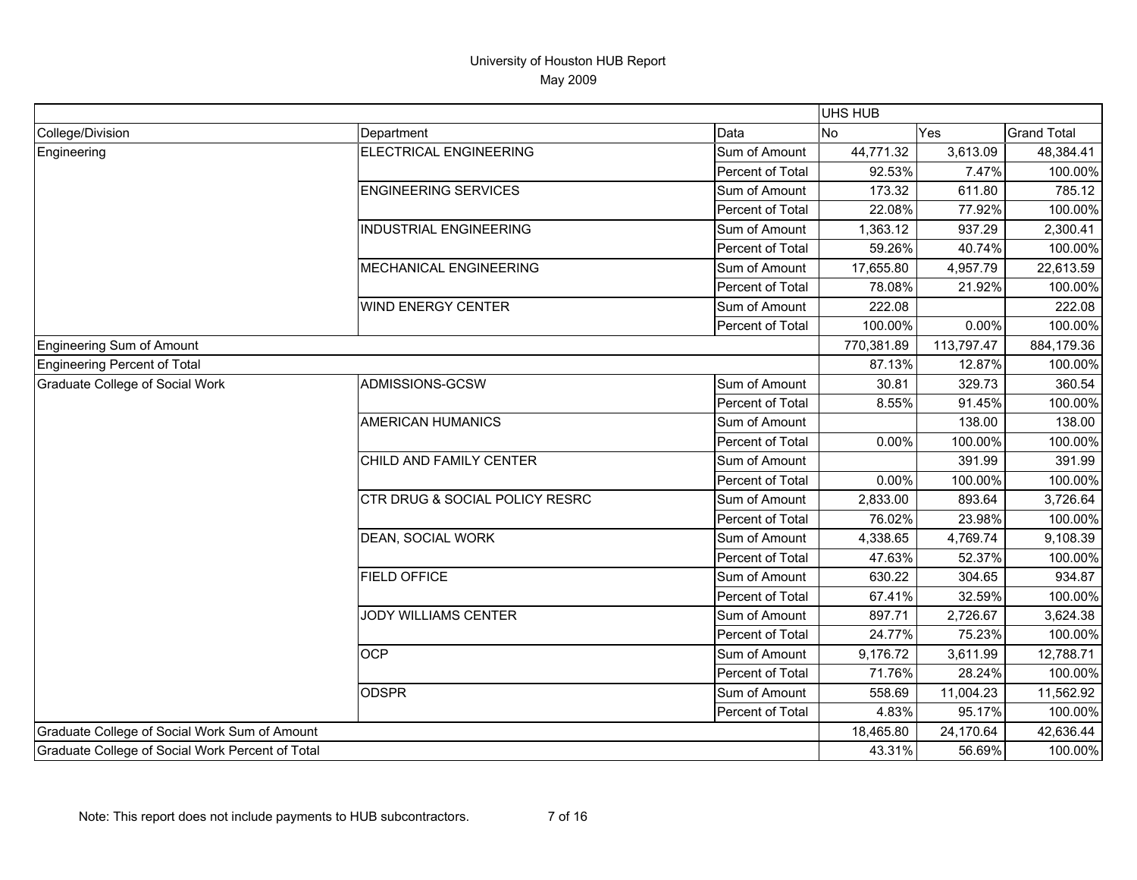|                                                  |                                |                  | UHS HUB    |            |                    |
|--------------------------------------------------|--------------------------------|------------------|------------|------------|--------------------|
| College/Division                                 | Department                     | Data             | <b>No</b>  | Yes        | <b>Grand Total</b> |
| Engineering                                      | <b>ELECTRICAL ENGINEERING</b>  | Sum of Amount    | 44,771.32  | 3,613.09   | 48,384.41          |
|                                                  |                                | Percent of Total | 92.53%     | 7.47%      | 100.00%            |
|                                                  | <b>ENGINEERING SERVICES</b>    | Sum of Amount    | 173.32     | 611.80     | 785.12             |
|                                                  |                                | Percent of Total | 22.08%     | 77.92%     | 100.00%            |
|                                                  | <b>INDUSTRIAL ENGINEERING</b>  | Sum of Amount    | 1,363.12   | 937.29     | 2,300.41           |
|                                                  |                                | Percent of Total | 59.26%     | 40.74%     | 100.00%            |
|                                                  | MECHANICAL ENGINEERING         | Sum of Amount    | 17,655.80  | 4,957.79   | 22,613.59          |
|                                                  |                                | Percent of Total | 78.08%     | 21.92%     | 100.00%            |
|                                                  | WIND ENERGY CENTER             | Sum of Amount    | 222.08     |            | 222.08             |
|                                                  |                                | Percent of Total | 100.00%    | 0.00%      | 100.00%            |
| Engineering Sum of Amount                        |                                |                  | 770,381.89 | 113,797.47 | 884,179.36         |
| <b>Engineering Percent of Total</b>              |                                |                  | 87.13%     | 12.87%     | 100.00%            |
| <b>Graduate College of Social Work</b>           | ADMISSIONS-GCSW                | Sum of Amount    | 30.81      | 329.73     | 360.54             |
|                                                  |                                | Percent of Total | 8.55%      | 91.45%     | 100.00%            |
|                                                  | <b>AMERICAN HUMANICS</b>       | Sum of Amount    |            | 138.00     | 138.00             |
|                                                  |                                | Percent of Total | 0.00%      | 100.00%    | 100.00%            |
|                                                  | CHILD AND FAMILY CENTER        | Sum of Amount    |            | 391.99     | 391.99             |
|                                                  |                                | Percent of Total | 0.00%      | 100.00%    | 100.00%            |
|                                                  | CTR DRUG & SOCIAL POLICY RESRC | Sum of Amount    | 2,833.00   | 893.64     | 3,726.64           |
|                                                  |                                | Percent of Total | 76.02%     | 23.98%     | 100.00%            |
|                                                  | DEAN, SOCIAL WORK              | Sum of Amount    | 4,338.65   | 4,769.74   | 9,108.39           |
|                                                  |                                | Percent of Total | 47.63%     | 52.37%     | 100.00%            |
|                                                  | <b>FIELD OFFICE</b>            | Sum of Amount    | 630.22     | 304.65     | 934.87             |
|                                                  |                                | Percent of Total | 67.41%     | 32.59%     | 100.00%            |
|                                                  | <b>JODY WILLIAMS CENTER</b>    | Sum of Amount    | 897.71     | 2,726.67   | 3,624.38           |
|                                                  |                                | Percent of Total | 24.77%     | 75.23%     | 100.00%            |
|                                                  | <b>OCP</b>                     | Sum of Amount    | 9,176.72   | 3,611.99   | 12,788.71          |
|                                                  |                                | Percent of Total | 71.76%     | 28.24%     | 100.00%            |
|                                                  | <b>ODSPR</b>                   | Sum of Amount    | 558.69     | 11,004.23  | 11,562.92          |
|                                                  |                                | Percent of Total | 4.83%      | 95.17%     | 100.00%            |
| Graduate College of Social Work Sum of Amount    |                                |                  | 18,465.80  | 24,170.64  | 42,636.44          |
| Graduate College of Social Work Percent of Total |                                |                  | 43.31%     | 56.69%     | 100.00%            |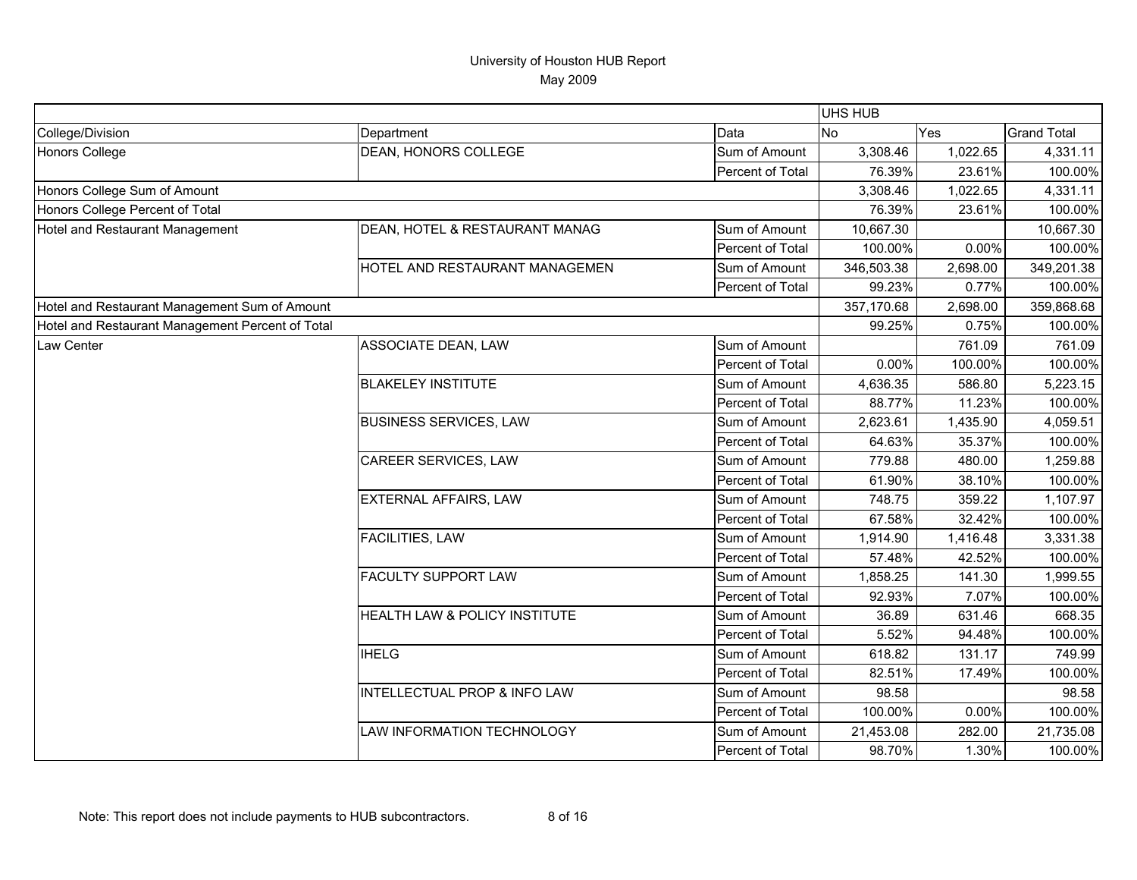|                                                  |                                |                  | <b>UHS HUB</b> |          |                    |
|--------------------------------------------------|--------------------------------|------------------|----------------|----------|--------------------|
| College/Division                                 | Department                     | Data             | N <sub>o</sub> | Yes      | <b>Grand Total</b> |
| <b>Honors College</b>                            | DEAN, HONORS COLLEGE           | Sum of Amount    | 3,308.46       | 1,022.65 | 4,331.11           |
|                                                  |                                | Percent of Total | 76.39%         | 23.61%   | 100.00%            |
| Honors College Sum of Amount                     |                                |                  | 3,308.46       | 1,022.65 | 4,331.11           |
| Honors College Percent of Total                  |                                |                  | 76.39%         | 23.61%   | 100.00%            |
| Hotel and Restaurant Management                  | DEAN, HOTEL & RESTAURANT MANAG | Sum of Amount    | 10,667.30      |          | 10,667.30          |
|                                                  |                                | Percent of Total | 100.00%        | 0.00%    | 100.00%            |
|                                                  | HOTEL AND RESTAURANT MANAGEMEN | Sum of Amount    | 346,503.38     | 2,698.00 | 349,201.38         |
|                                                  |                                | Percent of Total | 99.23%         | 0.77%    | 100.00%            |
| Hotel and Restaurant Management Sum of Amount    |                                |                  | 357,170.68     | 2,698.00 | 359,868.68         |
| Hotel and Restaurant Management Percent of Total |                                |                  | 99.25%         | 0.75%    | 100.00%            |
| Law Center                                       | ASSOCIATE DEAN, LAW            | Sum of Amount    |                | 761.09   | 761.09             |
|                                                  |                                | Percent of Total | 0.00%          | 100.00%  | 100.00%            |
|                                                  | <b>BLAKELEY INSTITUTE</b>      | Sum of Amount    | 4,636.35       | 586.80   | 5,223.15           |
|                                                  |                                | Percent of Total | 88.77%         | 11.23%   | 100.00%            |
|                                                  | <b>BUSINESS SERVICES, LAW</b>  | Sum of Amount    | 2,623.61       | 1,435.90 | 4,059.51           |
|                                                  |                                | Percent of Total | 64.63%         | 35.37%   | 100.00%            |
|                                                  | CAREER SERVICES, LAW           | Sum of Amount    | 779.88         | 480.00   | 1,259.88           |
|                                                  |                                | Percent of Total | 61.90%         | 38.10%   | 100.00%            |
|                                                  | EXTERNAL AFFAIRS, LAW          | Sum of Amount    | 748.75         | 359.22   | 1,107.97           |
|                                                  |                                | Percent of Total | 67.58%         | 32.42%   | 100.00%            |
|                                                  | <b>FACILITIES, LAW</b>         | Sum of Amount    | 1,914.90       | 1,416.48 | 3,331.38           |
|                                                  |                                | Percent of Total | 57.48%         | 42.52%   | 100.00%            |
|                                                  | FACULTY SUPPORT LAW            | Sum of Amount    | 1,858.25       | 141.30   | 1,999.55           |
|                                                  |                                | Percent of Total | 92.93%         | 7.07%    | 100.00%            |
|                                                  | HEALTH LAW & POLICY INSTITUTE  | Sum of Amount    | 36.89          | 631.46   | 668.35             |
|                                                  |                                | Percent of Total | 5.52%          | 94.48%   | 100.00%            |
|                                                  | <b>IHELG</b>                   | Sum of Amount    | 618.82         | 131.17   | 749.99             |
|                                                  |                                | Percent of Total | 82.51%         | 17.49%   | 100.00%            |
|                                                  | INTELLECTUAL PROP & INFO LAW   | Sum of Amount    | 98.58          |          | 98.58              |
|                                                  |                                | Percent of Total | 100.00%        | 0.00%    | 100.00%            |
|                                                  | LAW INFORMATION TECHNOLOGY     | Sum of Amount    | 21,453.08      | 282.00   | 21,735.08          |
|                                                  |                                | Percent of Total | 98.70%         | 1.30%    | 100.00%            |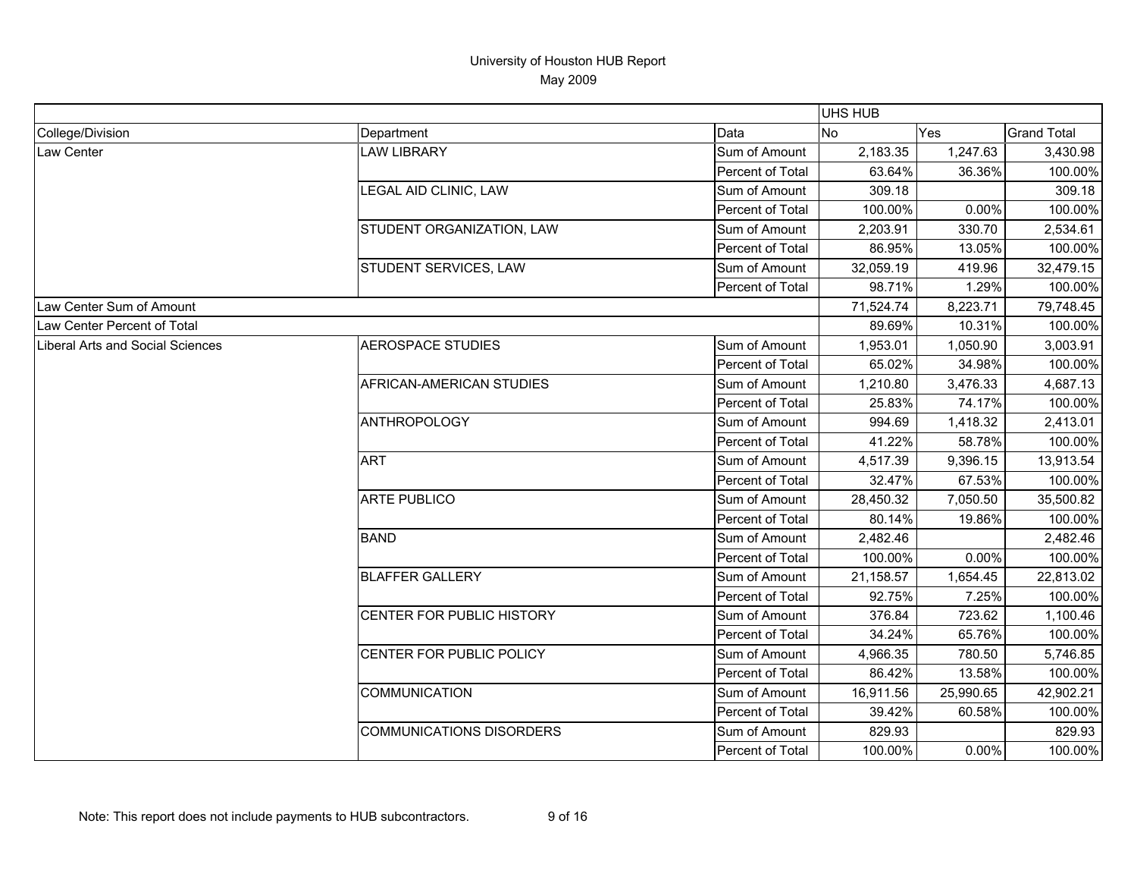|                                         |                                 |                  | UHS HUB   |           |                    |
|-----------------------------------------|---------------------------------|------------------|-----------|-----------|--------------------|
| College/Division                        | Department                      | Data             | No        | Yes       | <b>Grand Total</b> |
| Law Center                              | <b>LAW LIBRARY</b>              | Sum of Amount    | 2,183.35  | 1,247.63  | 3,430.98           |
|                                         |                                 | Percent of Total | 63.64%    | 36.36%    | 100.00%            |
|                                         | LEGAL AID CLINIC, LAW           | Sum of Amount    | 309.18    |           | 309.18             |
|                                         |                                 | Percent of Total | 100.00%   | 0.00%     | 100.00%            |
|                                         | STUDENT ORGANIZATION, LAW       | Sum of Amount    | 2,203.91  | 330.70    | 2,534.61           |
|                                         |                                 | Percent of Total | 86.95%    | 13.05%    | 100.00%            |
|                                         | STUDENT SERVICES, LAW           | Sum of Amount    | 32,059.19 | 419.96    | 32,479.15          |
|                                         |                                 | Percent of Total | 98.71%    | 1.29%     | 100.00%            |
| Law Center Sum of Amount                |                                 |                  | 71,524.74 | 8,223.71  | 79,748.45          |
| Law Center Percent of Total             |                                 |                  | 89.69%    | 10.31%    | 100.00%            |
| <b>Liberal Arts and Social Sciences</b> | <b>AEROSPACE STUDIES</b>        | Sum of Amount    | 1,953.01  | 1,050.90  | 3,003.91           |
|                                         |                                 | Percent of Total | 65.02%    | 34.98%    | 100.00%            |
|                                         | AFRICAN-AMERICAN STUDIES        | Sum of Amount    | 1,210.80  | 3,476.33  | 4,687.13           |
|                                         |                                 | Percent of Total | 25.83%    | 74.17%    | 100.00%            |
|                                         | <b>ANTHROPOLOGY</b>             | Sum of Amount    | 994.69    | 1,418.32  | 2,413.01           |
|                                         |                                 | Percent of Total | 41.22%    | 58.78%    | 100.00%            |
|                                         | <b>ART</b>                      | Sum of Amount    | 4,517.39  | 9,396.15  | 13,913.54          |
|                                         |                                 | Percent of Total | 32.47%    | 67.53%    | 100.00%            |
|                                         | <b>ARTE PUBLICO</b>             | Sum of Amount    | 28,450.32 | 7,050.50  | 35,500.82          |
|                                         |                                 | Percent of Total | 80.14%    | 19.86%    | 100.00%            |
|                                         | <b>BAND</b>                     | Sum of Amount    | 2,482.46  |           | 2,482.46           |
|                                         |                                 | Percent of Total | 100.00%   | 0.00%     | 100.00%            |
|                                         | <b>BLAFFER GALLERY</b>          | Sum of Amount    | 21,158.57 | 1,654.45  | 22,813.02          |
|                                         |                                 | Percent of Total | 92.75%    | 7.25%     | 100.00%            |
|                                         | CENTER FOR PUBLIC HISTORY       | Sum of Amount    | 376.84    | 723.62    | 1,100.46           |
|                                         |                                 | Percent of Total | 34.24%    | 65.76%    | 100.00%            |
|                                         | CENTER FOR PUBLIC POLICY        | Sum of Amount    | 4,966.35  | 780.50    | 5,746.85           |
|                                         |                                 | Percent of Total | 86.42%    | 13.58%    | 100.00%            |
|                                         | <b>COMMUNICATION</b>            | Sum of Amount    | 16,911.56 | 25,990.65 | 42,902.21          |
|                                         |                                 | Percent of Total | 39.42%    | 60.58%    | 100.00%            |
|                                         | <b>COMMUNICATIONS DISORDERS</b> | Sum of Amount    | 829.93    |           | 829.93             |
|                                         |                                 | Percent of Total | 100.00%   | 0.00%     | 100.00%            |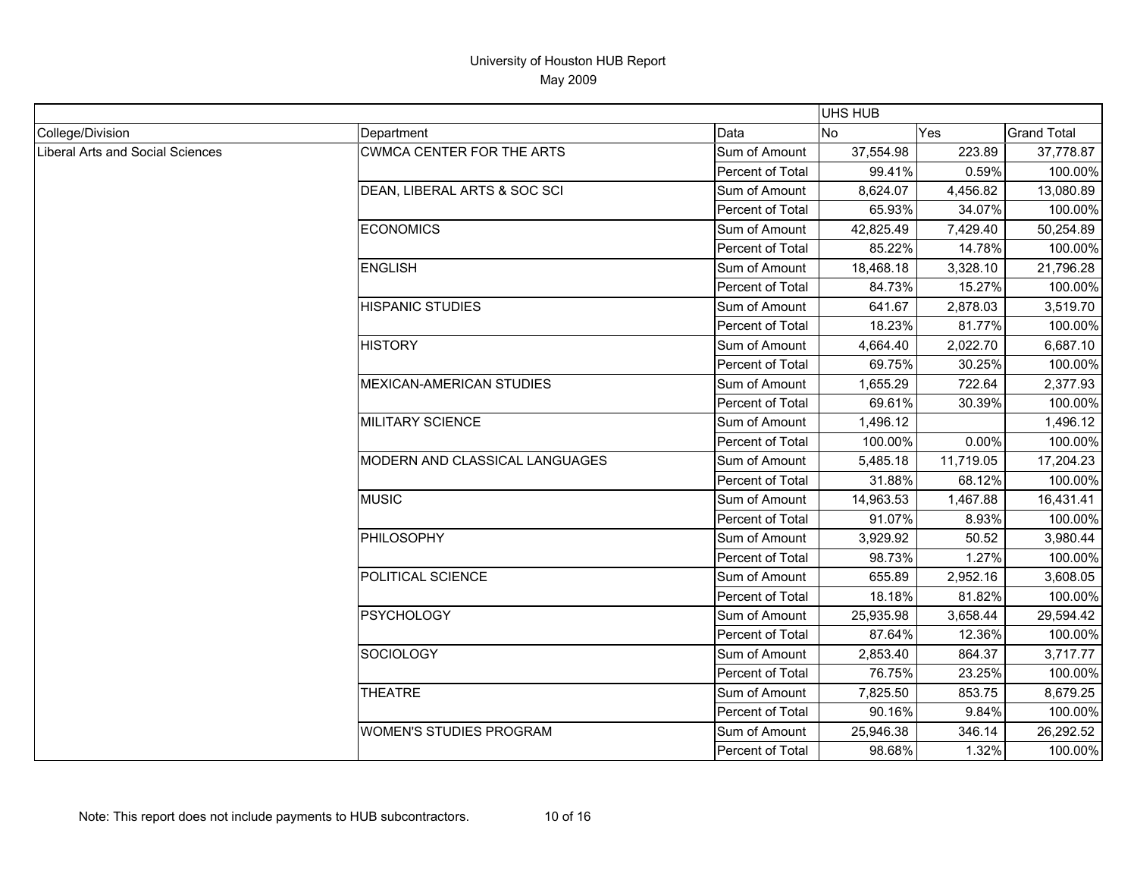|                                  |                                  |                         | <b>UHS HUB</b> |           |                    |
|----------------------------------|----------------------------------|-------------------------|----------------|-----------|--------------------|
| College/Division                 | Department                       | Data                    | <b>No</b>      | Yes       | <b>Grand Total</b> |
| Liberal Arts and Social Sciences | <b>CWMCA CENTER FOR THE ARTS</b> | Sum of Amount           | 37,554.98      | 223.89    | 37,778.87          |
|                                  |                                  | Percent of Total        | 99.41%         | 0.59%     | 100.00%            |
|                                  | DEAN, LIBERAL ARTS & SOC SCI     | Sum of Amount           | 8,624.07       | 4,456.82  | 13,080.89          |
|                                  |                                  | Percent of Total        | 65.93%         | 34.07%    | 100.00%            |
|                                  | <b>ECONOMICS</b>                 | Sum of Amount           | 42,825.49      | 7,429.40  | 50,254.89          |
|                                  |                                  | <b>Percent of Total</b> | 85.22%         | 14.78%    | 100.00%            |
|                                  | <b>ENGLISH</b>                   | Sum of Amount           | 18,468.18      | 3,328.10  | 21,796.28          |
|                                  |                                  | <b>Percent of Total</b> | 84.73%         | 15.27%    | 100.00%            |
|                                  | <b>HISPANIC STUDIES</b>          | Sum of Amount           | 641.67         | 2,878.03  | 3,519.70           |
|                                  |                                  | Percent of Total        | 18.23%         | 81.77%    | 100.00%            |
|                                  | <b>HISTORY</b>                   | Sum of Amount           | 4,664.40       | 2,022.70  | 6,687.10           |
|                                  |                                  | Percent of Total        | 69.75%         | 30.25%    | 100.00%            |
|                                  | <b>MEXICAN-AMERICAN STUDIES</b>  | Sum of Amount           | 1,655.29       | 722.64    | 2,377.93           |
|                                  |                                  | Percent of Total        | 69.61%         | 30.39%    | 100.00%            |
|                                  | <b>MILITARY SCIENCE</b>          | Sum of Amount           | 1,496.12       |           | 1,496.12           |
|                                  |                                  | Percent of Total        | 100.00%        | 0.00%     | 100.00%            |
|                                  | MODERN AND CLASSICAL LANGUAGES   | Sum of Amount           | 5,485.18       | 11,719.05 | 17,204.23          |
|                                  |                                  | Percent of Total        | 31.88%         | 68.12%    | 100.00%            |
|                                  | <b>MUSIC</b>                     | Sum of Amount           | 14,963.53      | 1,467.88  | 16,431.41          |
|                                  |                                  | Percent of Total        | 91.07%         | 8.93%     | 100.00%            |
|                                  | PHILOSOPHY                       | Sum of Amount           | 3,929.92       | 50.52     | 3,980.44           |
|                                  |                                  | Percent of Total        | 98.73%         | 1.27%     | 100.00%            |
|                                  | POLITICAL SCIENCE                | Sum of Amount           | 655.89         | 2,952.16  | 3,608.05           |
|                                  |                                  | Percent of Total        | 18.18%         | 81.82%    | 100.00%            |
|                                  | <b>PSYCHOLOGY</b>                | Sum of Amount           | 25,935.98      | 3,658.44  | 29,594.42          |
|                                  |                                  | Percent of Total        | 87.64%         | 12.36%    | 100.00%            |
|                                  | <b>SOCIOLOGY</b>                 | Sum of Amount           | 2,853.40       | 864.37    | 3,717.77           |
|                                  |                                  | Percent of Total        | 76.75%         | 23.25%    | 100.00%            |
|                                  | <b>THEATRE</b>                   | Sum of Amount           | 7,825.50       | 853.75    | 8,679.25           |
|                                  |                                  | Percent of Total        | 90.16%         | 9.84%     | 100.00%            |
|                                  | <b>WOMEN'S STUDIES PROGRAM</b>   | Sum of Amount           | 25,946.38      | 346.14    | 26,292.52          |
|                                  |                                  | Percent of Total        | 98.68%         | 1.32%     | 100.00%            |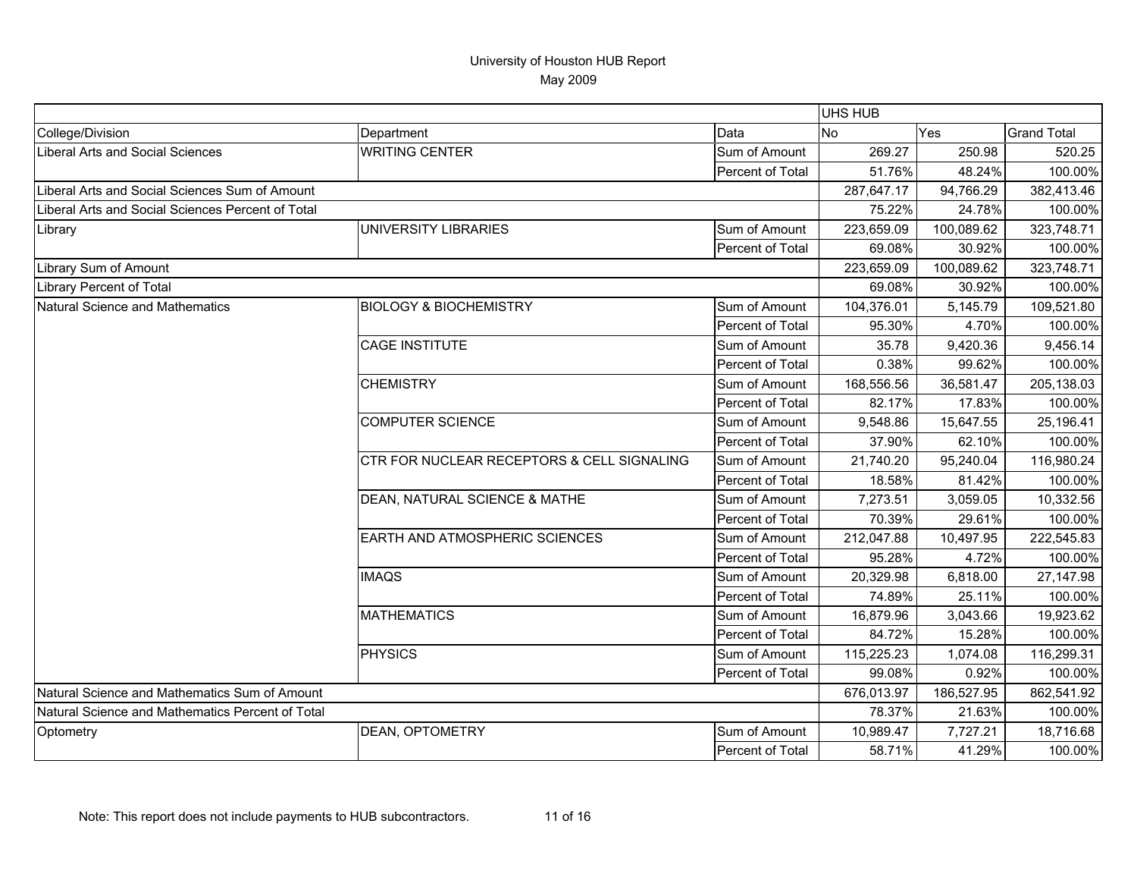|                                                   |                                            |                  | UHS HUB    |            |                    |
|---------------------------------------------------|--------------------------------------------|------------------|------------|------------|--------------------|
| College/Division                                  | Department                                 | Data             | No         | Yes        | <b>Grand Total</b> |
| Liberal Arts and Social Sciences                  | <b>WRITING CENTER</b>                      | Sum of Amount    | 269.27     | 250.98     | 520.25             |
|                                                   |                                            | Percent of Total | 51.76%     | 48.24%     | 100.00%            |
| Liberal Arts and Social Sciences Sum of Amount    |                                            |                  | 287,647.17 | 94,766.29  | 382,413.46         |
| Liberal Arts and Social Sciences Percent of Total |                                            |                  | 75.22%     | 24.78%     | 100.00%            |
| Library                                           | UNIVERSITY LIBRARIES                       | Sum of Amount    | 223,659.09 | 100,089.62 | 323,748.71         |
|                                                   |                                            | Percent of Total | 69.08%     | 30.92%     | 100.00%            |
| Library Sum of Amount                             |                                            |                  | 223,659.09 | 100,089.62 | 323,748.71         |
| <b>Library Percent of Total</b>                   |                                            |                  | 69.08%     | 30.92%     | 100.00%            |
| Natural Science and Mathematics                   | <b>BIOLOGY &amp; BIOCHEMISTRY</b>          | Sum of Amount    | 104,376.01 | 5,145.79   | 109,521.80         |
|                                                   |                                            | Percent of Total | 95.30%     | 4.70%      | 100.00%            |
|                                                   | <b>CAGE INSTITUTE</b>                      | Sum of Amount    | 35.78      | 9,420.36   | 9,456.14           |
|                                                   |                                            | Percent of Total | 0.38%      | 99.62%     | 100.00%            |
|                                                   | <b>CHEMISTRY</b>                           | Sum of Amount    | 168,556.56 | 36,581.47  | 205,138.03         |
|                                                   |                                            | Percent of Total | 82.17%     | 17.83%     | 100.00%            |
|                                                   | <b>COMPUTER SCIENCE</b>                    | Sum of Amount    | 9,548.86   | 15,647.55  | 25,196.41          |
|                                                   |                                            | Percent of Total | 37.90%     | 62.10%     | 100.00%            |
|                                                   | CTR FOR NUCLEAR RECEPTORS & CELL SIGNALING | Sum of Amount    | 21,740.20  | 95,240.04  | 116,980.24         |
|                                                   |                                            | Percent of Total | 18.58%     | 81.42%     | 100.00%            |
|                                                   | DEAN, NATURAL SCIENCE & MATHE              | Sum of Amount    | 7,273.51   | 3,059.05   | 10,332.56          |
|                                                   |                                            | Percent of Total | 70.39%     | 29.61%     | 100.00%            |
|                                                   | <b>EARTH AND ATMOSPHERIC SCIENCES</b>      | Sum of Amount    | 212,047.88 | 10,497.95  | 222,545.83         |
|                                                   |                                            | Percent of Total | 95.28%     | 4.72%      | 100.00%            |
|                                                   | <b>IMAQS</b>                               | Sum of Amount    | 20,329.98  | 6,818.00   | 27,147.98          |
|                                                   |                                            | Percent of Total | 74.89%     | 25.11%     | 100.00%            |
|                                                   | <b>MATHEMATICS</b>                         | Sum of Amount    | 16,879.96  | 3,043.66   | 19,923.62          |
|                                                   |                                            | Percent of Total | 84.72%     | 15.28%     | 100.00%            |
|                                                   | <b>PHYSICS</b>                             | Sum of Amount    | 115,225.23 | 1,074.08   | 116,299.31         |
|                                                   |                                            | Percent of Total | 99.08%     | 0.92%      | 100.00%            |
| Natural Science and Mathematics Sum of Amount     |                                            |                  | 676,013.97 | 186,527.95 | 862,541.92         |
| Natural Science and Mathematics Percent of Total  |                                            |                  | 78.37%     | 21.63%     | 100.00%            |
| Optometry                                         | DEAN, OPTOMETRY                            | Sum of Amount    | 10,989.47  | 7,727.21   | 18,716.68          |
|                                                   |                                            | Percent of Total | 58.71%     | 41.29%     | 100.00%            |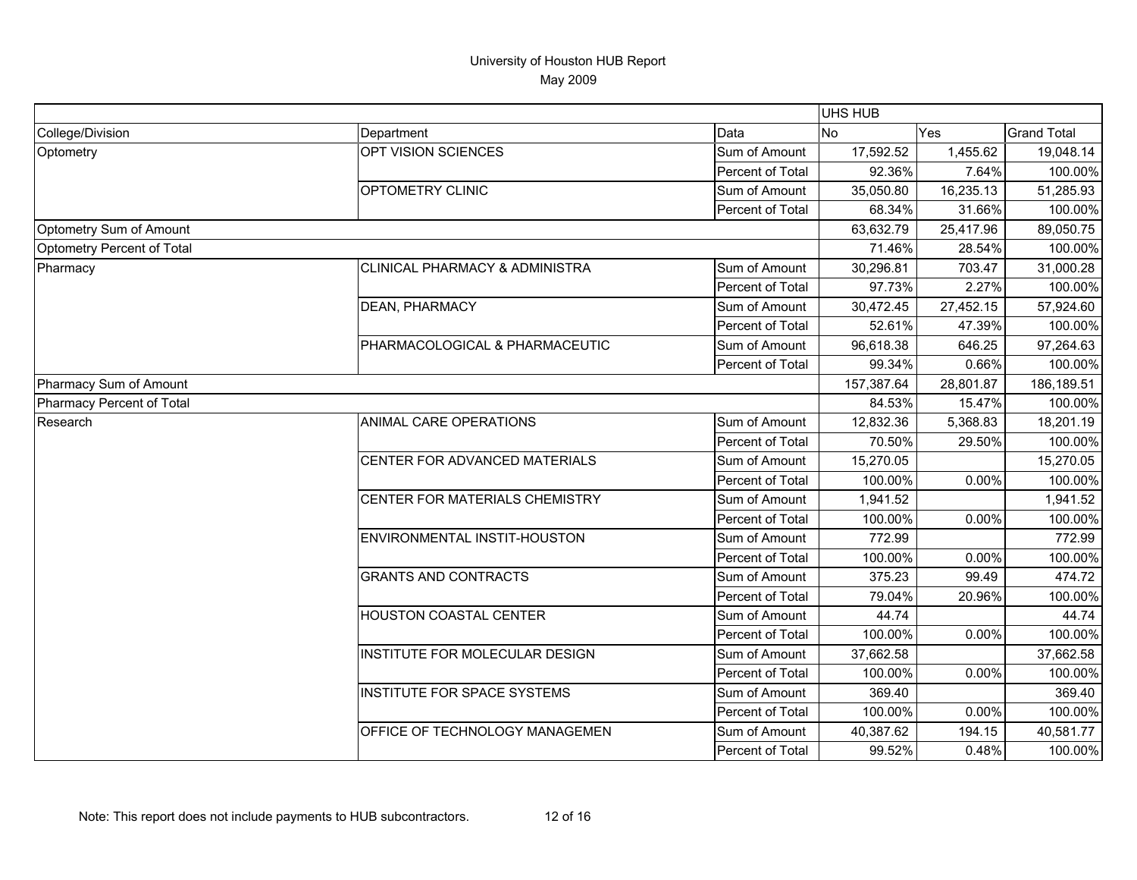|                            |                                |                  | <b>UHS HUB</b> |           |                    |
|----------------------------|--------------------------------|------------------|----------------|-----------|--------------------|
| College/Division           | Department                     | Data             | <b>No</b>      | Yes       | <b>Grand Total</b> |
| Optometry                  | OPT VISION SCIENCES            | Sum of Amount    | 17,592.52      | 1,455.62  | 19,048.14          |
|                            |                                | Percent of Total | 92.36%         | 7.64%     | 100.00%            |
|                            | <b>OPTOMETRY CLINIC</b>        | Sum of Amount    | 35,050.80      | 16,235.13 | 51,285.93          |
|                            |                                | Percent of Total | 68.34%         | 31.66%    | 100.00%            |
| Optometry Sum of Amount    |                                |                  | 63,632.79      | 25,417.96 | 89,050.75          |
| Optometry Percent of Total |                                |                  | 71.46%         | 28.54%    | 100.00%            |
| Pharmacy                   | CLINICAL PHARMACY & ADMINISTRA | Sum of Amount    | 30,296.81      | 703.47    | 31,000.28          |
|                            |                                | Percent of Total | 97.73%         | 2.27%     | 100.00%            |
|                            | DEAN, PHARMACY                 | Sum of Amount    | 30,472.45      | 27,452.15 | 57,924.60          |
|                            |                                | Percent of Total | 52.61%         | 47.39%    | 100.00%            |
|                            | PHARMACOLOGICAL & PHARMACEUTIC | Sum of Amount    | 96,618.38      | 646.25    | 97,264.63          |
|                            |                                | Percent of Total | 99.34%         | 0.66%     | 100.00%            |
| Pharmacy Sum of Amount     |                                |                  | 157,387.64     | 28,801.87 | 186,189.51         |
| Pharmacy Percent of Total  |                                |                  | 84.53%         | 15.47%    | 100.00%            |
| Research                   | ANIMAL CARE OPERATIONS         | Sum of Amount    | 12,832.36      | 5,368.83  | 18,201.19          |
|                            |                                | Percent of Total | 70.50%         | 29.50%    | 100.00%            |
|                            | CENTER FOR ADVANCED MATERIALS  | Sum of Amount    | 15,270.05      |           | 15,270.05          |
|                            |                                | Percent of Total | 100.00%        | 0.00%     | 100.00%            |
|                            | CENTER FOR MATERIALS CHEMISTRY | Sum of Amount    | 1,941.52       |           | 1,941.52           |
|                            |                                | Percent of Total | 100.00%        | 0.00%     | 100.00%            |
|                            | ENVIRONMENTAL INSTIT-HOUSTON   | Sum of Amount    | 772.99         |           | 772.99             |
|                            |                                | Percent of Total | 100.00%        | 0.00%     | 100.00%            |
|                            | <b>GRANTS AND CONTRACTS</b>    | Sum of Amount    | 375.23         | 99.49     | 474.72             |
|                            |                                | Percent of Total | 79.04%         | 20.96%    | 100.00%            |
|                            | HOUSTON COASTAL CENTER         | Sum of Amount    | 44.74          |           | 44.74              |
|                            |                                | Percent of Total | 100.00%        | 0.00%     | 100.00%            |
|                            | INSTITUTE FOR MOLECULAR DESIGN | Sum of Amount    | 37,662.58      |           | 37,662.58          |
|                            |                                | Percent of Total | 100.00%        | 0.00%     | 100.00%            |
|                            | INSTITUTE FOR SPACE SYSTEMS    | Sum of Amount    | 369.40         |           | 369.40             |
|                            |                                | Percent of Total | 100.00%        | 0.00%     | 100.00%            |
|                            | OFFICE OF TECHNOLOGY MANAGEMEN | Sum of Amount    | 40,387.62      | 194.15    | 40,581.77          |
|                            |                                | Percent of Total | 99.52%         | 0.48%     | 100.00%            |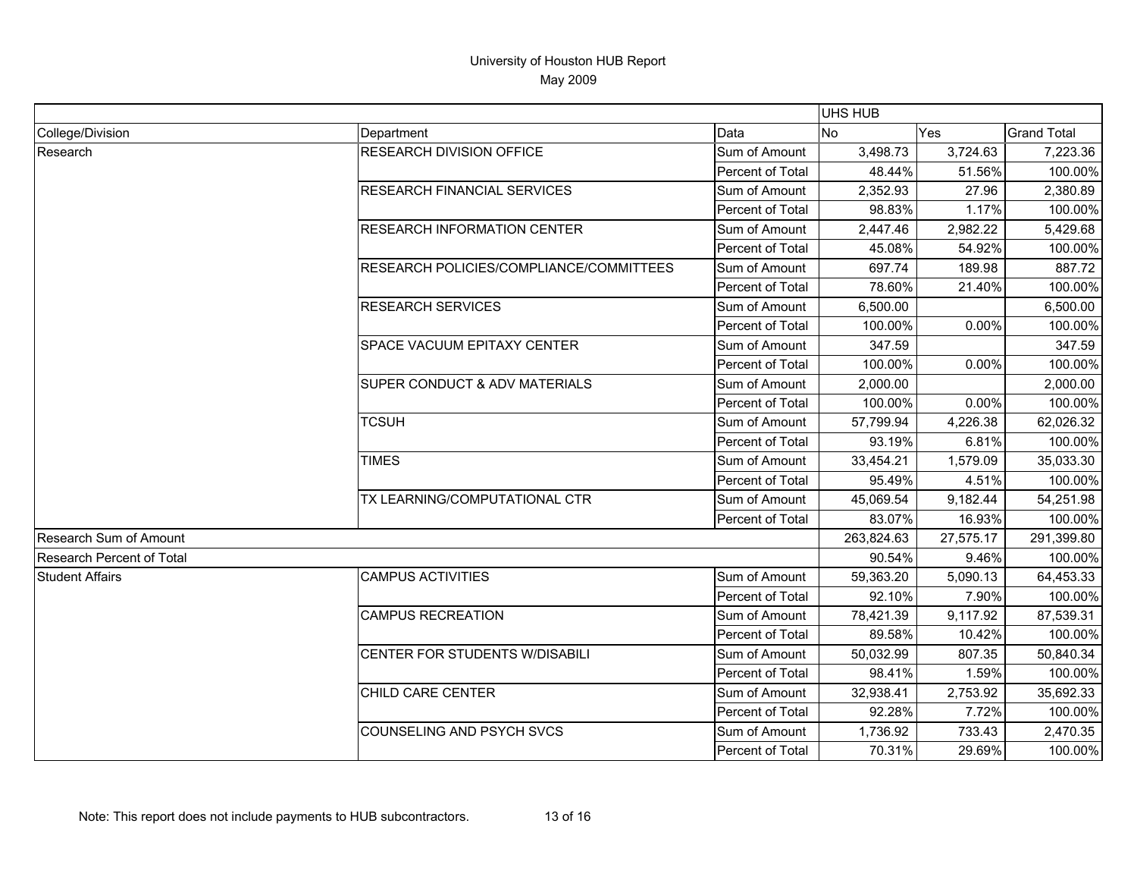|                           |                                         |                         | <b>UHS HUB</b> |           |                    |
|---------------------------|-----------------------------------------|-------------------------|----------------|-----------|--------------------|
| College/Division          | Department                              | Data                    | <b>No</b>      | Yes       | <b>Grand Total</b> |
| Research                  | RESEARCH DIVISION OFFICE                | Sum of Amount           | 3,498.73       | 3,724.63  | 7,223.36           |
|                           |                                         | Percent of Total        | 48.44%         | 51.56%    | 100.00%            |
|                           | <b>RESEARCH FINANCIAL SERVICES</b>      | Sum of Amount           | 2,352.93       | 27.96     | 2,380.89           |
|                           |                                         | Percent of Total        | 98.83%         | 1.17%     | 100.00%            |
|                           | <b>RESEARCH INFORMATION CENTER</b>      | Sum of Amount           | 2,447.46       | 2,982.22  | 5,429.68           |
|                           |                                         | Percent of Total        | 45.08%         | 54.92%    | 100.00%            |
|                           | RESEARCH POLICIES/COMPLIANCE/COMMITTEES | Sum of Amount           | 697.74         | 189.98    | 887.72             |
|                           |                                         | <b>Percent of Total</b> | 78.60%         | 21.40%    | 100.00%            |
|                           | <b>RESEARCH SERVICES</b>                | Sum of Amount           | 6,500.00       |           | 6,500.00           |
|                           |                                         | Percent of Total        | 100.00%        | 0.00%     | 100.00%            |
|                           | SPACE VACUUM EPITAXY CENTER             | Sum of Amount           | 347.59         |           | 347.59             |
|                           |                                         | Percent of Total        | 100.00%        | 0.00%     | 100.00%            |
|                           | SUPER CONDUCT & ADV MATERIALS           | Sum of Amount           | 2,000.00       |           | 2,000.00           |
|                           |                                         | Percent of Total        | 100.00%        | 0.00%     | 100.00%            |
|                           | <b>TCSUH</b>                            | Sum of Amount           | 57,799.94      | 4,226.38  | 62,026.32          |
|                           |                                         | Percent of Total        | 93.19%         | 6.81%     | 100.00%            |
|                           | <b>TIMES</b>                            | Sum of Amount           | 33,454.21      | 1,579.09  | 35,033.30          |
|                           |                                         | Percent of Total        | 95.49%         | 4.51%     | 100.00%            |
|                           | TX LEARNING/COMPUTATIONAL CTR           | Sum of Amount           | 45,069.54      | 9,182.44  | 54,251.98          |
|                           |                                         | Percent of Total        | 83.07%         | 16.93%    | 100.00%            |
| Research Sum of Amount    |                                         |                         | 263,824.63     | 27,575.17 | 291,399.80         |
| Research Percent of Total |                                         |                         | 90.54%         | 9.46%     | 100.00%            |
| <b>Student Affairs</b>    | <b>CAMPUS ACTIVITIES</b>                | Sum of Amount           | 59,363.20      | 5,090.13  | 64,453.33          |
|                           |                                         | Percent of Total        | 92.10%         | 7.90%     | 100.00%            |
|                           | <b>CAMPUS RECREATION</b>                | Sum of Amount           | 78,421.39      | 9,117.92  | 87,539.31          |
|                           |                                         | Percent of Total        | 89.58%         | 10.42%    | 100.00%            |
|                           | CENTER FOR STUDENTS W/DISABILI          | Sum of Amount           | 50,032.99      | 807.35    | 50,840.34          |
|                           |                                         | Percent of Total        | 98.41%         | 1.59%     | 100.00%            |
|                           | CHILD CARE CENTER                       | Sum of Amount           | 32,938.41      | 2,753.92  | 35,692.33          |
|                           |                                         | <b>Percent of Total</b> | 92.28%         | 7.72%     | 100.00%            |
|                           | COUNSELING AND PSYCH SVCS               | Sum of Amount           | 1,736.92       | 733.43    | 2,470.35           |
|                           |                                         | Percent of Total        | 70.31%         | 29.69%    | 100.00%            |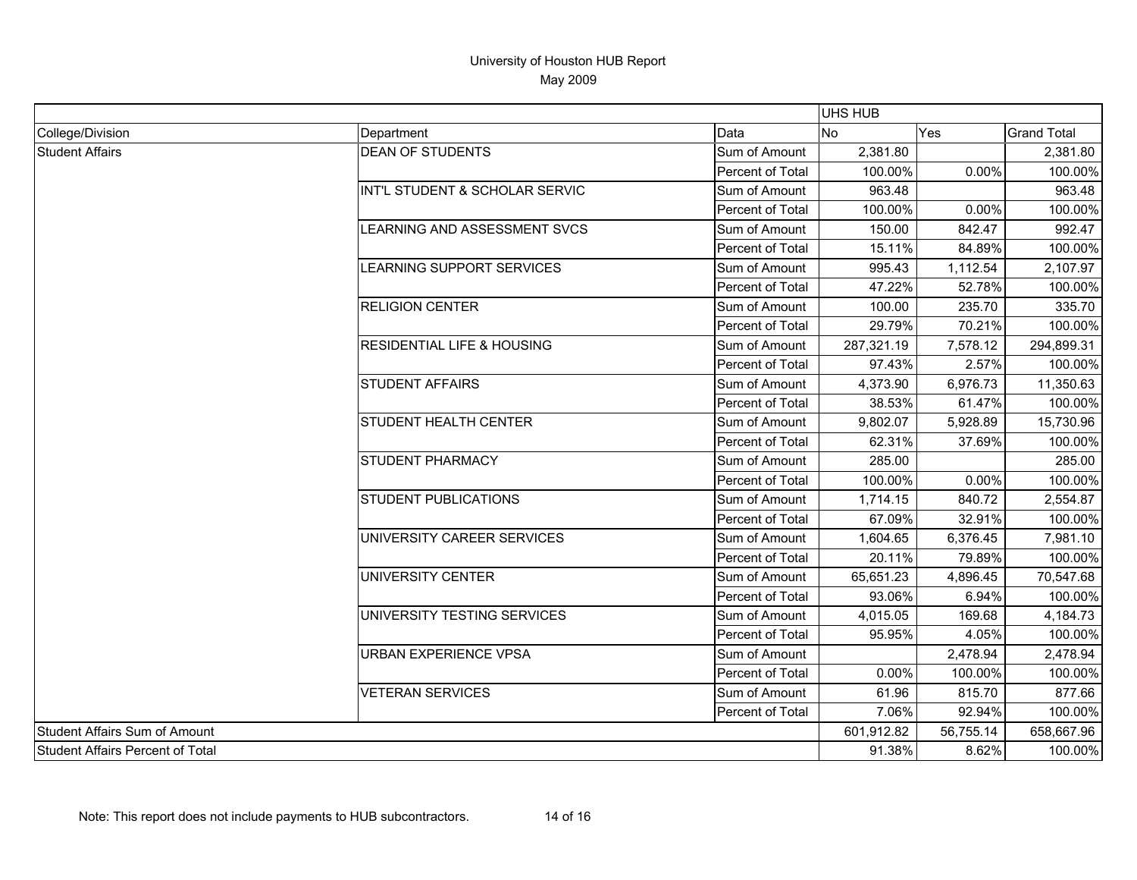|                                         |                                       |                         | <b>UHS HUB</b> |            |                    |
|-----------------------------------------|---------------------------------------|-------------------------|----------------|------------|--------------------|
| College/Division                        | Department                            | Data                    | No             | Yes        | <b>Grand Total</b> |
| <b>Student Affairs</b>                  | <b>DEAN OF STUDENTS</b>               | Sum of Amount           | 2,381.80       |            | 2,381.80           |
|                                         |                                       | Percent of Total        | 100.00%        | 0.00%      | 100.00%            |
|                                         | INT'L STUDENT & SCHOLAR SERVIC        | Sum of Amount           | 963.48         |            | 963.48             |
|                                         |                                       | Percent of Total        | 100.00%        | 0.00%      | 100.00%            |
|                                         | LEARNING AND ASSESSMENT SVCS          | Sum of Amount           | 150.00         | 842.47     | 992.47             |
|                                         |                                       | Percent of Total        | 15.11%         | 84.89%     | 100.00%            |
|                                         | LEARNING SUPPORT SERVICES             | Sum of Amount           | 995.43         | 1,112.54   | 2,107.97           |
|                                         |                                       | Percent of Total        | 47.22%         | 52.78%     | 100.00%            |
|                                         | <b>RELIGION CENTER</b>                | Sum of Amount           | 100.00         | 235.70     | 335.70             |
|                                         |                                       | Percent of Total        | 29.79%         | 70.21%     | 100.00%            |
|                                         | <b>RESIDENTIAL LIFE &amp; HOUSING</b> | Sum of Amount           | 287,321.19     | 7,578.12   | 294,899.31         |
|                                         |                                       | Percent of Total        | 97.43%         | 2.57%      | 100.00%            |
|                                         | <b>STUDENT AFFAIRS</b>                | Sum of Amount           | 4,373.90       | 6,976.73   | 11,350.63          |
|                                         |                                       | Percent of Total        | 38.53%         | 61.47%     | 100.00%            |
|                                         | <b>STUDENT HEALTH CENTER</b>          | Sum of Amount           | 9,802.07       | 5,928.89   | 15,730.96          |
|                                         |                                       | Percent of Total        | 62.31%         | 37.69%     | 100.00%            |
|                                         | <b>STUDENT PHARMACY</b>               | Sum of Amount           | 285.00         |            | 285.00             |
|                                         |                                       | Percent of Total        | 100.00%        | 0.00%      | 100.00%            |
|                                         | <b>STUDENT PUBLICATIONS</b>           | Sum of Amount           | 1,714.15       | 840.72     | 2,554.87           |
|                                         |                                       | Percent of Total        | 67.09%         | 32.91%     | 100.00%            |
|                                         | UNIVERSITY CAREER SERVICES            | Sum of Amount           | 1,604.65       | 6,376.45   | 7,981.10           |
|                                         |                                       | Percent of Total        | 20.11%         | 79.89%     | 100.00%            |
|                                         | UNIVERSITY CENTER                     | Sum of Amount           | 65,651.23      | 4,896.45   | 70,547.68          |
|                                         |                                       | Percent of Total        | 93.06%         | 6.94%      | 100.00%            |
|                                         | UNIVERSITY TESTING SERVICES           | Sum of Amount           | 4,015.05       | 169.68     | 4,184.73           |
|                                         |                                       | Percent of Total        | 95.95%         | 4.05%      | 100.00%            |
|                                         | <b>URBAN EXPERIENCE VPSA</b>          | Sum of Amount           |                | 2,478.94   | 2,478.94           |
|                                         |                                       | <b>Percent of Total</b> | 0.00%          | 100.00%    | 100.00%            |
|                                         | <b>VETERAN SERVICES</b>               | Sum of Amount           | 61.96          | 815.70     | 877.66             |
|                                         |                                       | Percent of Total        | 7.06%          | 92.94%     | 100.00%            |
| <b>Student Affairs Sum of Amount</b>    |                                       | 601,912.82              | 56,755.14      | 658,667.96 |                    |
| <b>Student Affairs Percent of Total</b> |                                       | 91.38%                  | 8.62%          | 100.00%    |                    |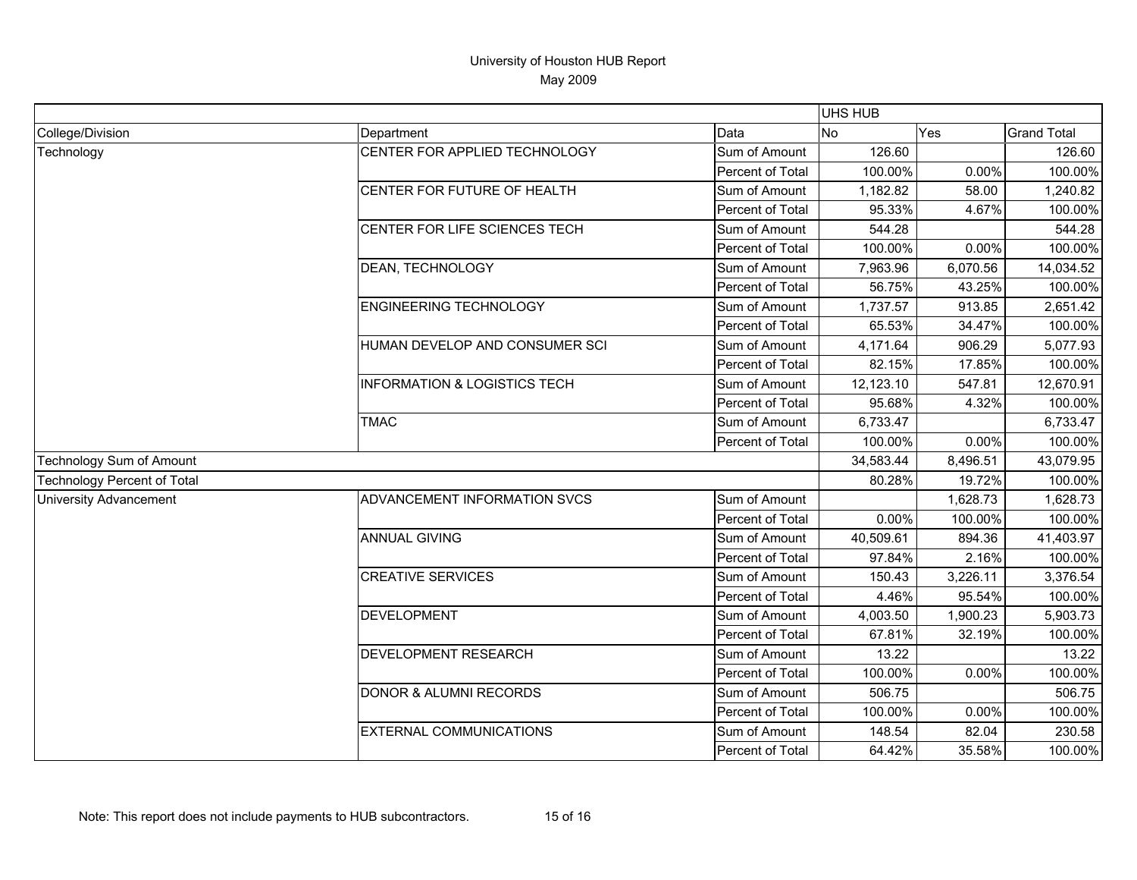|                                    |                                         |                  | UHS HUB   |          |                    |
|------------------------------------|-----------------------------------------|------------------|-----------|----------|--------------------|
| College/Division                   | Department                              | Data             | <b>No</b> | Yes      | <b>Grand Total</b> |
| Technology                         | CENTER FOR APPLIED TECHNOLOGY           | Sum of Amount    | 126.60    |          | 126.60             |
|                                    |                                         | Percent of Total | 100.00%   | 0.00%    | 100.00%            |
|                                    | CENTER FOR FUTURE OF HEALTH             | Sum of Amount    | 1,182.82  | 58.00    | 1,240.82           |
|                                    |                                         | Percent of Total | 95.33%    | 4.67%    | 100.00%            |
|                                    | CENTER FOR LIFE SCIENCES TECH           | Sum of Amount    | 544.28    |          | 544.28             |
|                                    |                                         | Percent of Total | 100.00%   | 0.00%    | 100.00%            |
|                                    | DEAN, TECHNOLOGY                        | Sum of Amount    | 7,963.96  | 6,070.56 | 14,034.52          |
|                                    |                                         | Percent of Total | 56.75%    | 43.25%   | 100.00%            |
|                                    | <b>ENGINEERING TECHNOLOGY</b>           | Sum of Amount    | 1,737.57  | 913.85   | 2,651.42           |
|                                    |                                         | Percent of Total | 65.53%    | 34.47%   | 100.00%            |
|                                    | HUMAN DEVELOP AND CONSUMER SCI          | Sum of Amount    | 4,171.64  | 906.29   | 5,077.93           |
|                                    |                                         | Percent of Total | 82.15%    | 17.85%   | 100.00%            |
|                                    | <b>INFORMATION &amp; LOGISTICS TECH</b> | Sum of Amount    | 12,123.10 | 547.81   | 12,670.91          |
|                                    |                                         | Percent of Total | 95.68%    | 4.32%    | 100.00%            |
|                                    | <b>TMAC</b>                             | Sum of Amount    | 6,733.47  |          | 6,733.47           |
|                                    |                                         | Percent of Total | 100.00%   | 0.00%    | 100.00%            |
| Technology Sum of Amount           |                                         |                  | 34,583.44 | 8,496.51 | 43,079.95          |
| <b>Technology Percent of Total</b> |                                         |                  | 80.28%    | 19.72%   | 100.00%            |
| <b>University Advancement</b>      | ADVANCEMENT INFORMATION SVCS            | Sum of Amount    |           | 1,628.73 | 1,628.73           |
|                                    |                                         | Percent of Total | 0.00%     | 100.00%  | 100.00%            |
|                                    | <b>ANNUAL GIVING</b>                    | Sum of Amount    | 40,509.61 | 894.36   | 41,403.97          |
|                                    |                                         | Percent of Total | 97.84%    | 2.16%    | 100.00%            |
|                                    | <b>CREATIVE SERVICES</b>                | Sum of Amount    | 150.43    | 3,226.11 | 3,376.54           |
|                                    |                                         | Percent of Total | 4.46%     | 95.54%   | 100.00%            |
|                                    | <b>DEVELOPMENT</b>                      | Sum of Amount    | 4,003.50  | 1,900.23 | 5,903.73           |
|                                    |                                         | Percent of Total | 67.81%    | 32.19%   | 100.00%            |
|                                    | <b>DEVELOPMENT RESEARCH</b>             | Sum of Amount    | 13.22     |          | 13.22              |
|                                    |                                         | Percent of Total | 100.00%   | 0.00%    | 100.00%            |
|                                    | <b>DONOR &amp; ALUMNI RECORDS</b>       | Sum of Amount    | 506.75    |          | 506.75             |
|                                    |                                         | Percent of Total | 100.00%   | 0.00%    | 100.00%            |
|                                    | <b>EXTERNAL COMMUNICATIONS</b>          | Sum of Amount    | 148.54    | 82.04    | 230.58             |
|                                    |                                         | Percent of Total | 64.42%    | 35.58%   | 100.00%            |